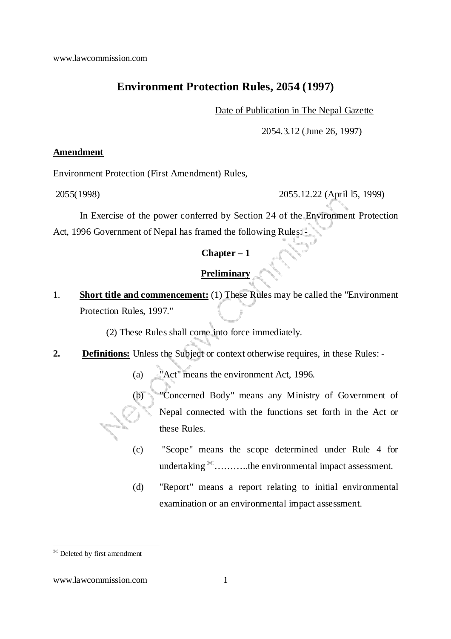# **Environment Protection Rules, 2054 (1997)**

Date of Publication in The Nepal Gazette

2054.3.12 (June 26, 1997)

### **Amendment**

Environment Protection (First Amendment) Rules,

2055(1998) 2055.12.22 (April l5, 1999)

In Exercise of the power conferred by Section 24 of the Environment Protection Act, 1996 Government of Nepal has framed the following Rules: -

# **Chapter – 1**

### **Preliminary**

1. **Short title and commencement:** (1) These Rules may be called the "Environment Protection Rules, 1997."

(2) These Rules shall come into force immediately.

**2. Definitions:** Unless the Subject or context otherwise requires, in these Rules: -

(a) "Act" means the environment Act, 1996.

(b) "Concerned Body" means any Ministry of Government of Nepal connected with the functions set forth in the Act or these Rules.

- (c) "Scope" means the scope determined under Rule 4 for undertaking  $\mathcal{K}$ .........the environmental impact assessment.
- (d) "Report" means a report relating to initial environmental examination or an environmental impact assessment.

<sup>-</sup>Deleted by first amendment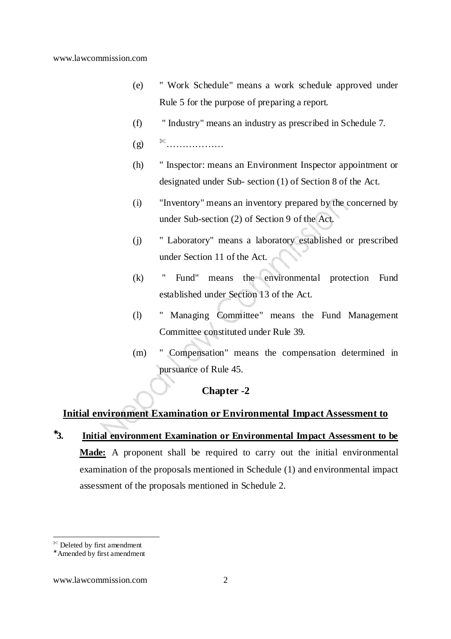- (e) " Work Schedule" means a work schedule approved under Rule 5 for the purpose of preparing a report.
- (f) " Industry" means an industry as prescribed in Schedule 7.
- (g) ………………
- (h) " Inspector: means an Environment Inspector appointment or designated under Sub- section (1) of Section 8 of the Act.
- (i) "Inventory" means an inventory prepared by the concerned by under Sub-section (2) of Section 9 of the Act.
- (j) " Laboratory" means a laboratory established or prescribed under Section 11 of the Act.
- (k) " Fund" means the environmental protection Fund established under Section 13 of the Act.
- (l) " Managing Committee" means the Fund Management Committee constituted under Rule 39.
- (m) " Compensation" means the compensation determined in pursuance of Rule 45.

### **Chapter -2**

## **Initial environment Examination or Environmental Impact Assessment to**

<sup>∗</sup>**3. Initial environment Examination or Environmental Impact Assessment to be Made:** A proponent shall be required to carry out the initial environmental examination of the proposals mentioned in Schedule (1) and environmental impact assessment of the proposals mentioned in Schedule 2.

 $\mathbb{R}$  Deleted by first amendment

<sup>∗</sup> Amended by first amendment

www.lawcommission.com 2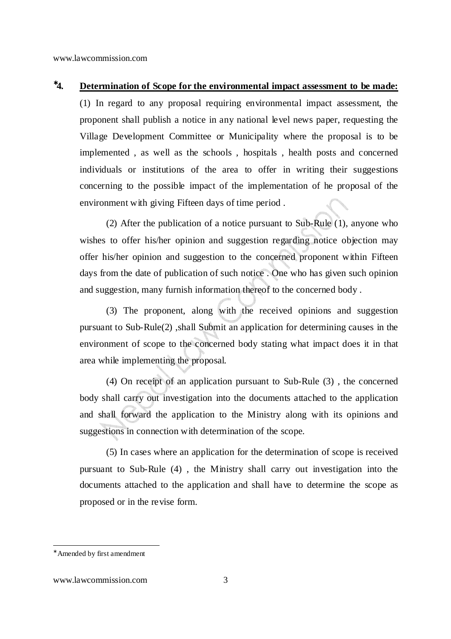# <sup>∗</sup>**4. Determination of Scope for the environmental impact assessment to be made:**

(1) In regard to any proposal requiring environmental impact assessment, the proponent shall publish a notice in any national level news paper, requesting the Village Development Committee or Municipality where the proposal is to be implemented , as well as the schools , hospitals , health posts and concerned individuals or institutions of the area to offer in writing their suggestions concerning to the possible impact of the implementation of he proposal of the environment with giving Fifteen days of time period .

(2) After the publication of a notice pursuant to Sub-Rule (1), anyone who wishes to offer his/her opinion and suggestion regarding notice objection may offer his/her opinion and suggestion to the concerned proponent within Fifteen days from the date of publication of such notice . One who has given such opinion and suggestion, many furnish information thereof to the concerned body .

(3) The proponent, along with the received opinions and suggestion pursuant to Sub-Rule(2) ,shall Submit an application for determining causes in the environment of scope to the concerned body stating what impact does it in that area while implementing the proposal.

(4) On receipt of an application pursuant to Sub-Rule (3) , the concerned body shall carry out investigation into the documents attached to the application and shall forward the application to the Ministry along with its opinions and suggestions in connection with determination of the scope.

(5) In cases where an application for the determination of scope is received pursuant to Sub-Rule (4) , the Ministry shall carry out investigation into the documents attached to the application and shall have to determine the scope as proposed or in the revise form.

-

#### www.lawcommission.com 3

<sup>∗</sup> Amended by first amendment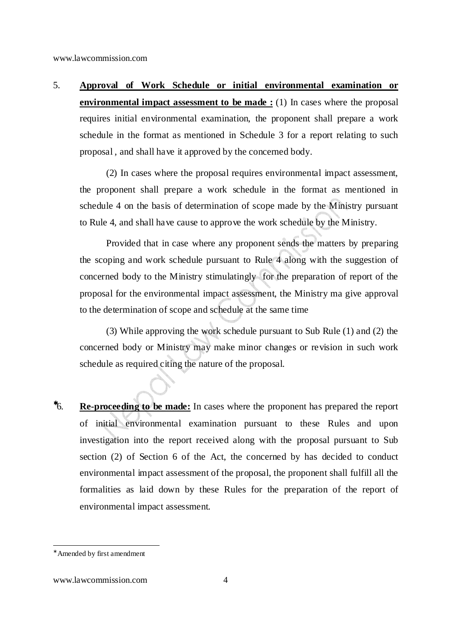5. **Approval of Work Schedule or initial environmental examination or environmental impact assessment to be made :** (1) In cases where the proposal requires initial environmental examination, the proponent shall prepare a work schedule in the format as mentioned in Schedule 3 for a report relating to such proposal , and shall have it approved by the concerned body.

(2) In cases where the proposal requires environmental impact assessment, the proponent shall prepare a work schedule in the format as mentioned in schedule 4 on the basis of determination of scope made by the Ministry pursuant to Rule 4, and shall have cause to approve the work schedule by the Ministry.

Provided that in case where any proponent sends the matters by preparing the scoping and work schedule pursuant to Rule 4 along with the suggestion of concerned body to the Ministry stimulatingly for the preparation of report of the proposal for the environmental impact assessment, the Ministry ma give approval to the determination of scope and schedule at the same time

(3) While approving the work schedule pursuant to Sub Rule (1) and (2) the concerned body or Ministry may make minor changes or revision in such work schedule as required citing the nature of the proposal.

<sup>∗</sup>6. **Re-proceeding to be made:** In cases where the proponent has prepared the report of initial environmental examination pursuant to these Rules and upon investigation into the report received along with the proposal pursuant to Sub section (2) of Section 6 of the Act, the concerned by has decided to conduct environmental impact assessment of the proposal, the proponent shall fulfill all the formalities as laid down by these Rules for the preparation of the report of environmental impact assessment.

<sup>∗</sup> Amended by first amendment

www.lawcommission.com 4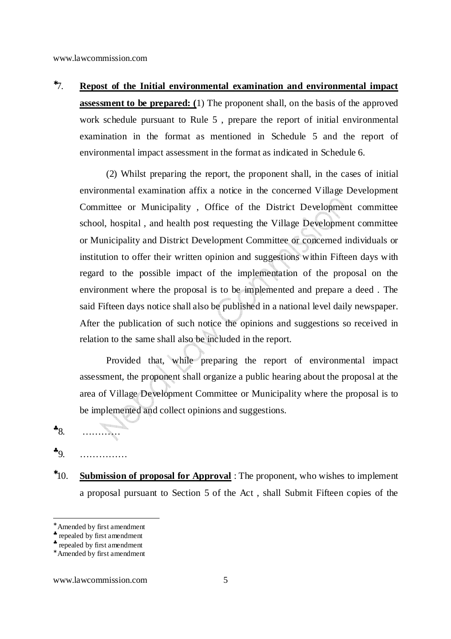<sup>∗</sup>7. **Repost of the Initial environmental examination and environmental impact assessment to be prepared: (**1) The proponent shall, on the basis of the approved work schedule pursuant to Rule 5 , prepare the report of initial environmental examination in the format as mentioned in Schedule 5 and the report of environmental impact assessment in the format as indicated in Schedule 6.

(2) Whilst preparing the report, the proponent shall, in the cases of initial environmental examination affix a notice in the concerned Village Development Committee or Municipality , Office of the District Development committee school, hospital , and health post requesting the Village Development committee or Municipality and District Development Committee or concerned individuals or institution to offer their written opinion and suggestions within Fifteen days with regard to the possible impact of the implementation of the proposal on the environment where the proposal is to be implemented and prepare a deed . The said Fifteen days notice shall also be published in a national level daily newspaper. After the publication of such notice the opinions and suggestions so received in relation to the same shall also be included in the report.

Provided that, while preparing the report of environmental impact assessment, the proponent shall organize a public hearing about the proposal at the area of Village Development Committee or Municipality where the proposal is to be implemented and collect opinions and suggestions.

 $*_{8}$ …………

 $\bullet$   $\circ$ ……………

<sup>∗</sup>10. **Submission of proposal for Approval** : The proponent, who wishes to implement a proposal pursuant to Section 5 of the Act , shall Submit Fifteen copies of the

-

#### www.lawcommission.com 5

<sup>∗</sup> Amended by first amendment

<sup>♣</sup> repealed by first amendment

<sup>♣</sup> repealed by first amendment

<sup>∗</sup> Amended by first amendment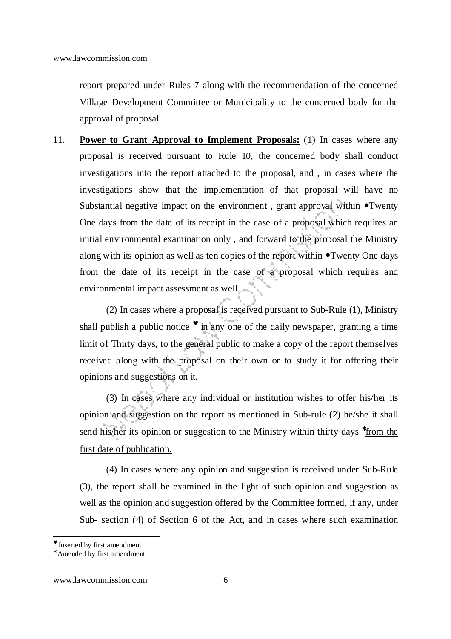report prepared under Rules 7 along with the recommendation of the concerned Village Development Committee or Municipality to the concerned body for the approval of proposal.

11. **Power to Grant Approval to Implement Proposals:** (1) In cases where any proposal is received pursuant to Rule 10, the concerned body shall conduct investigations into the report attached to the proposal, and , in cases where the investigations show that the implementation of that proposal will have no Substantial negative impact on the environment, grant approval within  $\bullet$ Twenty One days from the date of its receipt in the case of a proposal which requires an initial environmental examination only , and forward to the proposal the Ministry along with its opinion as well as ten copies of the report within <u>• Twenty One days</u> from the date of its receipt in the case of a proposal which requires and environmental impact assessment as well.

(2) In cases where a proposal is received pursuant to Sub-Rule (1), Ministry shall publish a public notice  $\bullet$  in any one of the daily newspaper, granting a time limit of Thirty days, to the general public to make a copy of the report themselves received along with the proposal on their own or to study it for offering their opinions and suggestions on it.

(3) In cases where any individual or institution wishes to offer his/her its opinion and suggestion on the report as mentioned in Sub-rule (2) he/she it shall send his/her its opinion or suggestion to the Ministry within thirty days <sup>\*</sup>from the first date of publication.

(4) In cases where any opinion and suggestion is received under Sub-Rule (3), the report shall be examined in the light of such opinion and suggestion as well as the opinion and suggestion offered by the Committee formed, if any, under Sub- section (4) of Section 6 of the Act, and in cases where such examination

<sup>♥</sup> Inserted by first amendment

<sup>∗</sup> Amended by first amendment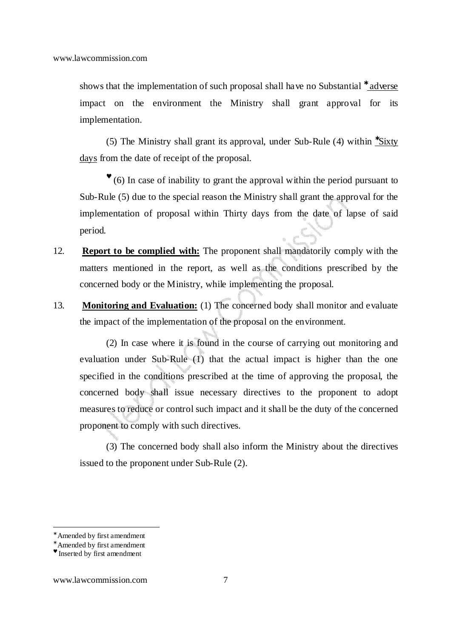shows that the implementation of such proposal shall have no Substantial <sup>\*</sup> adverse impact on the environment the Ministry shall grant approval for its implementation.

(5) The Ministry shall grant its approval, under Sub-Rule (4) within <sup>∗</sup>Sixty days from the date of receipt of the proposal.

♥ (6) In case of inability to grant the approval within the period pursuant to Sub-Rule (5) due to the special reason the Ministry shall grant the approval for the implementation of proposal within Thirty days from the date of lapse of said period.

- 12. **Report to be complied with:** The proponent shall mandatorily comply with the matters mentioned in the report, as well as the conditions prescribed by the concerned body or the Ministry, while implementing the proposal.
- 13. **Monitoring and Evaluation:** (1) The concerned body shall monitor and evaluate the impact of the implementation of the proposal on the environment.

(2) In case where it is found in the course of carrying out monitoring and evaluation under Sub-Rule (1) that the actual impact is higher than the one specified in the conditions prescribed at the time of approving the proposal, the concerned body shall issue necessary directives to the proponent to adopt measures to reduce or control such impact and it shall be the duty of the concerned proponent to comply with such directives.

(3) The concerned body shall also inform the Ministry about the directives issued to the proponent under Sub-Rule (2).

<sup>∗</sup> Amended by first amendment

<sup>∗</sup> Amended by first amendment

<sup>♥</sup> Inserted by first amendment

www.lawcommission.com 7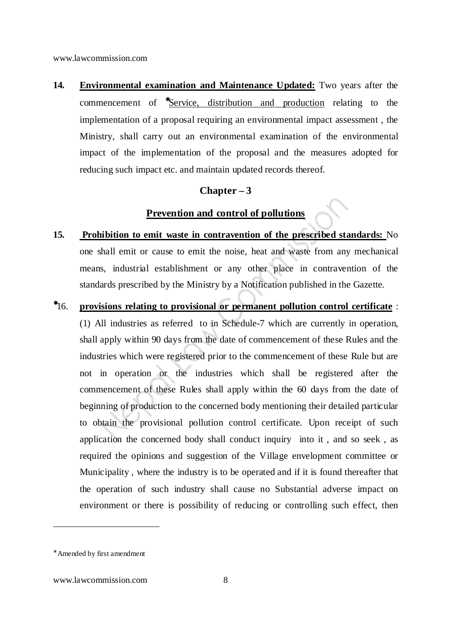**14. Environmental examination and Maintenance Updated:** Two years after the commencement of <sup>\*</sup>Service, distribution and production relating to the implementation of a proposal requiring an environmental impact assessment , the Ministry, shall carry out an environmental examination of the environmental impact of the implementation of the proposal and the measures adopted for reducing such impact etc. and maintain updated records thereof.

### **Chapter – 3**

# **Prevention and control of pollutions**

- **15. Prohibition to emit waste in contravention of the prescribed standards:** No one shall emit or cause to emit the noise, heat and waste from any mechanical means, industrial establishment or any other place in contravention of the standards prescribed by the Ministry by a Notification published in the Gazette.
- <sup>∗</sup>16. **provisions relating to provisional or permanent pollution control certificate** :

(1) All industries as referred to in Schedule-7 which are currently in operation, shall apply within 90 days from the date of commencement of these Rules and the industries which were registered prior to the commencement of these Rule but are not in operation or the industries which shall be registered after the commencement of these Rules shall apply within the 60 days from the date of beginning of production to the concerned body mentioning their detailed particular to obtain the provisional pollution control certificate. Upon receipt of such application the concerned body shall conduct inquiry into it , and so seek , as required the opinions and suggestion of the Village envelopment committee or Municipality , where the industry is to be operated and if it is found thereafter that the operation of such industry shall cause no Substantial adverse impact on environment or there is possibility of reducing or controlling such effect, then

<sup>∗</sup> Amended by first amendment

www.lawcommission.com 8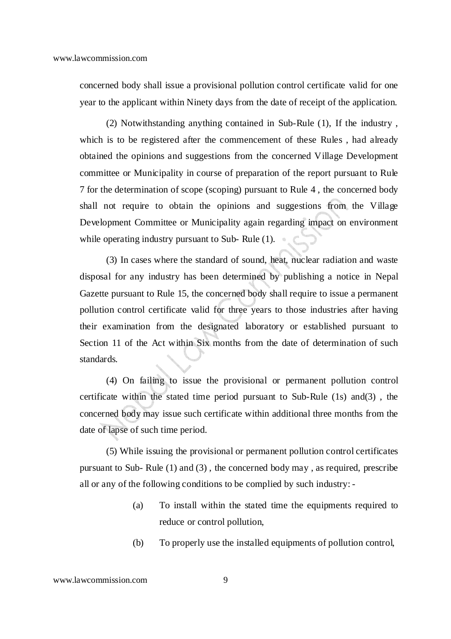concerned body shall issue a provisional pollution control certificate valid for one year to the applicant within Ninety days from the date of receipt of the application.

(2) Notwithstanding anything contained in Sub-Rule (1), If the industry , which is to be registered after the commencement of these Rules , had already obtained the opinions and suggestions from the concerned Village Development committee or Municipality in course of preparation of the report pursuant to Rule 7 for the determination of scope (scoping) pursuant to Rule 4 , the concerned body shall not require to obtain the opinions and suggestions from the Village Development Committee or Municipality again regarding impact on environment while operating industry pursuant to Sub-Rule  $(1)$ .

(3) In cases where the standard of sound, heat, nuclear radiation and waste disposal for any industry has been determined by publishing a notice in Nepal Gazette pursuant to Rule 15, the concerned body shall require to issue a permanent pollution control certificate valid for three years to those industries after having their examination from the designated laboratory or established pursuant to Section 11 of the Act within Six months from the date of determination of such standards.

(4) On failing to issue the provisional or permanent pollution control certificate within the stated time period pursuant to Sub-Rule (1s) and(3) , the concerned body may issue such certificate within additional three months from the date of lapse of such time period.

(5) While issuing the provisional or permanent pollution control certificates pursuant to Sub- Rule (1) and (3) , the concerned body may , as required, prescribe all or any of the following conditions to be complied by such industry: -

- (a) To install within the stated time the equipments required to reduce or control pollution,
- (b) To properly use the installed equipments of pollution control,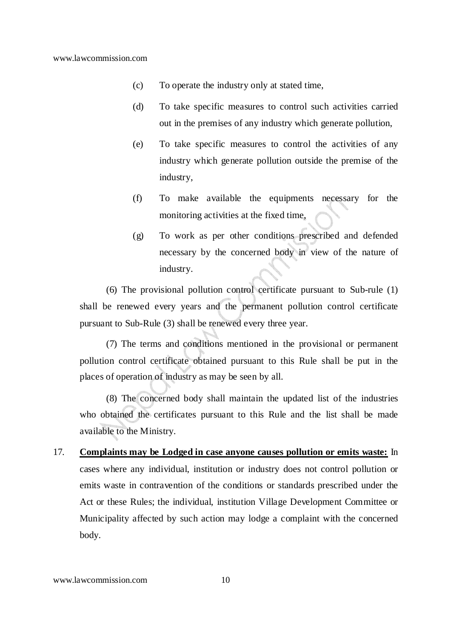- (c) To operate the industry only at stated time,
- (d) To take specific measures to control such activities carried out in the premises of any industry which generate pollution,
- (e) To take specific measures to control the activities of any industry which generate pollution outside the premise of the industry,
- (f) To make available the equipments necessary for the monitoring activities at the fixed time,
- (g) To work as per other conditions prescribed and defended necessary by the concerned body in view of the nature of industry.

(6) The provisional pollution control certificate pursuant to Sub-rule (1) shall be renewed every years and the permanent pollution control certificate pursuant to Sub-Rule (3) shall be renewed every three year.

(7) The terms and conditions mentioned in the provisional or permanent pollution control certificate obtained pursuant to this Rule shall be put in the places of operation of industry as may be seen by all.

(8) The concerned body shall maintain the updated list of the industries who obtained the certificates pursuant to this Rule and the list shall be made available to the Ministry.

17. **Complaints may be Lodged in case anyone causes pollution or emits waste:** In cases where any individual, institution or industry does not control pollution or emits waste in contravention of the conditions or standards prescribed under the Act or these Rules; the individual, institution Village Development Committee or Municipality affected by such action may lodge a complaint with the concerned body.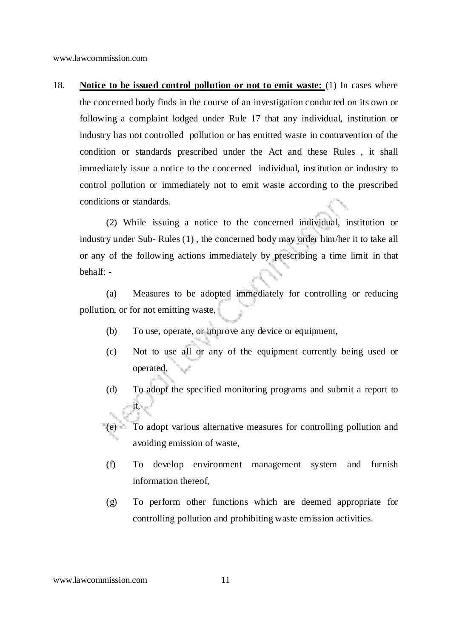18. **Notice to be issued control pollution or not to emit waste:** (1) In cases where the concerned body finds in the course of an investigation conducted on its own or following a complaint lodged under Rule 17 that any individual, institution or industry has not controlled pollution or has emitted waste in contravention of the condition or standards prescribed under the Act and these Rules , it shall immediately issue a notice to the concerned individual, institution or industry to control pollution or immediately not to emit waste according to the prescribed conditions or standards.

(2) While issuing a notice to the concerned individual, institution or industry under Sub- Rules (1) , the concerned body may order him/her it to take all or any of the following actions immediately by prescribing a time limit in that behalf: -

 (a) Measures to be adopted immediately for controlling or reducing pollution, or for not emitting waste,

- (b) To use, operate, or improve any device or equipment,
- (c) Not to use all or any of the equipment currently being used or operated,
- (d) To adopt the specified monitoring programs and submit a report to it,

(e) To adopt various alternative measures for controlling pollution and avoiding emission of waste,

- (f) To develop environment management system and furnish information thereof,
- (g) To perform other functions which are deemed appropriate for controlling pollution and prohibiting waste emission activities.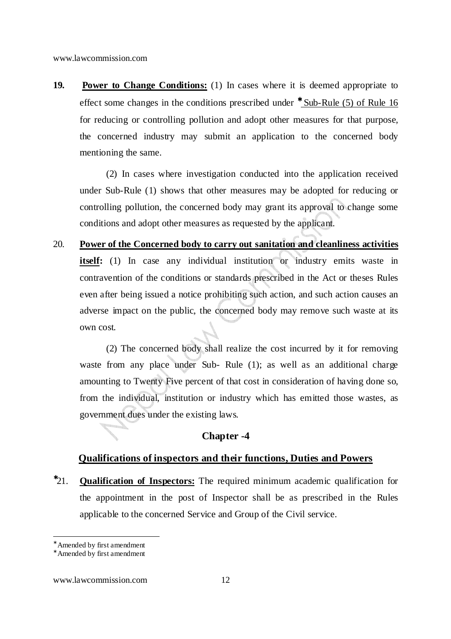**19. Power to Change Conditions:** (1) In cases where it is deemed appropriate to effect some changes in the conditions prescribed under <sup>\*</sup> Sub-Rule (5) of Rule 16 for reducing or controlling pollution and adopt other measures for that purpose, the concerned industry may submit an application to the concerned body mentioning the same.

(2) In cases where investigation conducted into the application received under Sub-Rule (1) shows that other measures may be adopted for reducing or controlling pollution, the concerned body may grant its approval to change some conditions and adopt other measures as requested by the applicant.

20. **Power of the Concerned body to carry out sanitation and cleanliness activities itself:** (1) In case any individual institution or industry emits waste in contravention of the conditions or standards prescribed in the Act or theses Rules even after being issued a notice prohibiting such action, and such action causes an adverse impact on the public, the concerned body may remove such waste at its own cost.

(2) The concerned body shall realize the cost incurred by it for removing waste from any place under Sub- Rule (1); as well as an additional charge amounting to Twenty Five percent of that cost in consideration of having done so, from the individual, institution or industry which has emitted those wastes, as government dues under the existing laws.

### **Chapter -4**

#### **Qualifications of inspectors and their functions, Duties and Powers**

<sup>∗</sup>21. **Qualification of Inspectors:** The required minimum academic qualification for the appointment in the post of Inspector shall be as prescribed in the Rules applicable to the concerned Service and Group of the Civil service.

-

www.lawcommission.com 12

<sup>∗</sup> Amended by first amendment

<sup>∗</sup> Amended by first amendment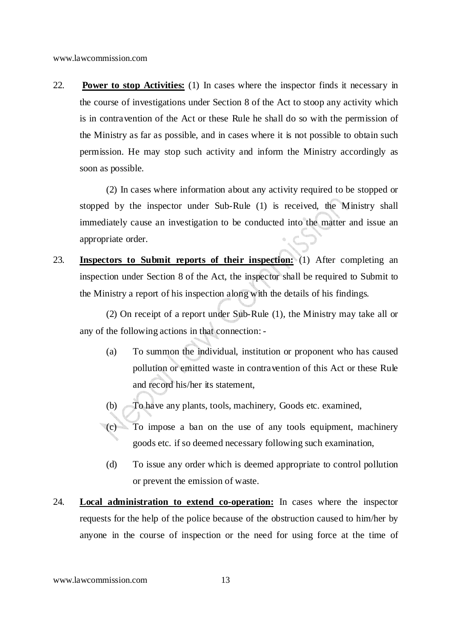22. **Power to stop Activities:** (1) In cases where the inspector finds it necessary in the course of investigations under Section 8 of the Act to stoop any activity which is in contravention of the Act or these Rule he shall do so with the permission of the Ministry as far as possible, and in cases where it is not possible to obtain such permission. He may stop such activity and inform the Ministry accordingly as soon as possible.

(2) In cases where information about any activity required to be stopped or stopped by the inspector under Sub-Rule (1) is received, the Ministry shall immediately cause an investigation to be conducted into the matter and issue an appropriate order.

23. **Inspectors to Submit reports of their inspection:** (1) After completing an inspection under Section 8 of the Act, the inspector shall be required to Submit to the Ministry a report of his inspection along with the details of his findings.

(2) On receipt of a report under Sub-Rule (1), the Ministry may take all or any of the following actions in that connection: -

- (a) To summon the individual, institution or proponent who has caused pollution or emitted waste in contravention of this Act or these Rule and record his/her its statement,
- (b) To have any plants, tools, machinery, Goods etc. examined,
- (c) To impose a ban on the use of any tools equipment, machinery goods etc. if so deemed necessary following such examination,
	- (d) To issue any order which is deemed appropriate to control pollution or prevent the emission of waste.
- 24. **Local administration to extend co-operation:** In cases where the inspector requests for the help of the police because of the obstruction caused to him/her by anyone in the course of inspection or the need for using force at the time of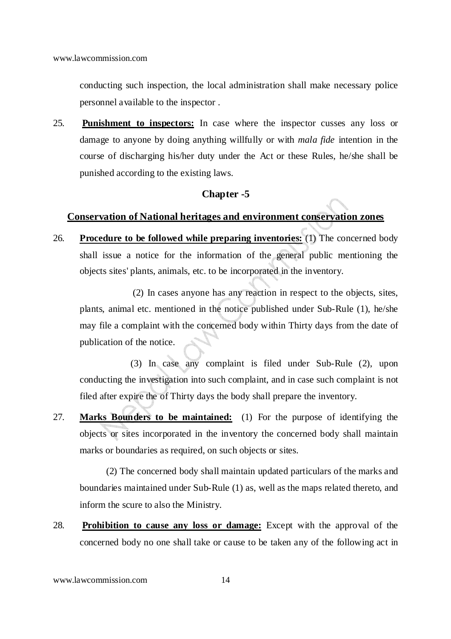conducting such inspection, the local administration shall make necessary police personnel available to the inspector .

25. **Punishment to inspectors:** In case where the inspector cusses any loss or damage to anyone by doing anything willfully or with *mala fide* intention in the course of discharging his/her duty under the Act or these Rules, he/she shall be punished according to the existing laws.

#### **Chapter -5**

### **Conservation of National heritages and environment conservation zones**

26. **Procedure to be followed while preparing inventories:** (1) The concerned body shall issue a notice for the information of the general public mentioning the objects sites' plants, animals, etc. to be incorporated in the inventory.

 (2) In cases anyone has any reaction in respect to the objects, sites, plants, animal etc. mentioned in the notice published under Sub-Rule (1), he/she may file a complaint with the concerned body within Thirty days from the date of publication of the notice.

 (3) In case any complaint is filed under Sub-Rule (2), upon conducting the investigation into such complaint, and in case such complaint is not filed after expire the of Thirty days the body shall prepare the inventory.

27. **Marks Bounders to be maintained:** (1) For the purpose of identifying the objects or sites incorporated in the inventory the concerned body shall maintain marks or boundaries as required, on such objects or sites.

(2) The concerned body shall maintain updated particulars of the marks and boundaries maintained under Sub-Rule (1) as, well as the maps related thereto, and inform the scure to also the Ministry.

28. **Prohibition to cause any loss or damage:** Except with the approval of the concerned body no one shall take or cause to be taken any of the following act in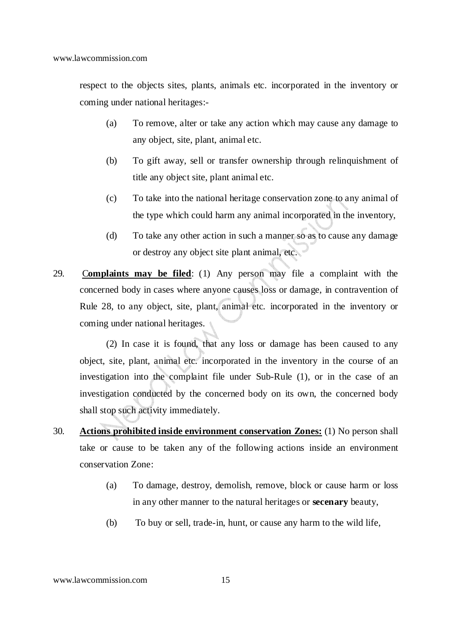respect to the objects sites, plants, animals etc. incorporated in the inventory or coming under national heritages:-

- (a) To remove, alter or take any action which may cause any damage to any object, site, plant, animal etc.
- (b) To gift away, sell or transfer ownership through relinquishment of title any object site, plant animal etc.
- (c) To take into the national heritage conservation zone to any animal of the type which could harm any animal incorporated in the inventory,
- (d) To take any other action in such a manner so as to cause any damage or destroy any object site plant animal, etc.
- 29. C**omplaints may be filed**: (1) Any person may file a complaint with the concerned body in cases where anyone causes loss or damage, in contravention of Rule 28, to any object, site, plant, animal etc. incorporated in the inventory or coming under national heritages.

(2) In case it is found, that any loss or damage has been caused to any object, site, plant, animal etc. incorporated in the inventory in the course of an investigation into the complaint file under Sub-Rule (1), or in the case of an investigation conducted by the concerned body on its own, the concerned body shall stop such activity immediately.

- 30. **Actions prohibited inside environment conservation Zones:** (1) No person shall take or cause to be taken any of the following actions inside an environment conservation Zone:
	- (a) To damage, destroy, demolish, remove, block or cause harm or loss in any other manner to the natural heritages or **secenary** beauty,
	- (b) To buy or sell, trade-in, hunt, or cause any harm to the wild life,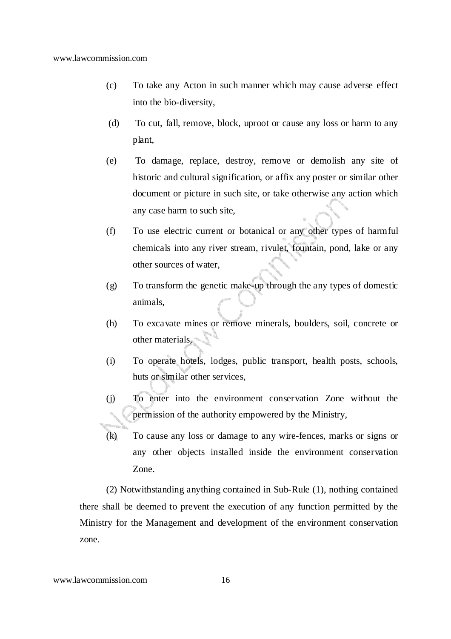- (c) To take any Acton in such manner which may cause adverse effect into the bio-diversity,
- (d) To cut, fall, remove, block, uproot or cause any loss or harm to any plant,
- (e) To damage, replace, destroy, remove or demolish any site of historic and cultural signification, or affix any poster or similar other document or picture in such site, or take otherwise any action which any case harm to such site,
- (f) To use electric current or botanical or any other types of harmful chemicals into any river stream, rivulet, fountain, pond, lake or any other sources of water,
- (g) To transform the genetic make-up through the any types of domestic animals,
- (h) To excavate mines or remove minerals, boulders, soil, concrete or other materials,
- (i) To operate hotels, lodges, public transport, health posts, schools, huts or similar other services,
- (j) To enter into the environment conservation Zone without the permission of the authority empowered by the Ministry,
- (k) To cause any loss or damage to any wire-fences, marks or signs or any other objects installed inside the environment conservation Zone.

(2) Notwithstanding anything contained in Sub-Rule (1), nothing contained there shall be deemed to prevent the execution of any function permitted by the Ministry for the Management and development of the environment conservation zone.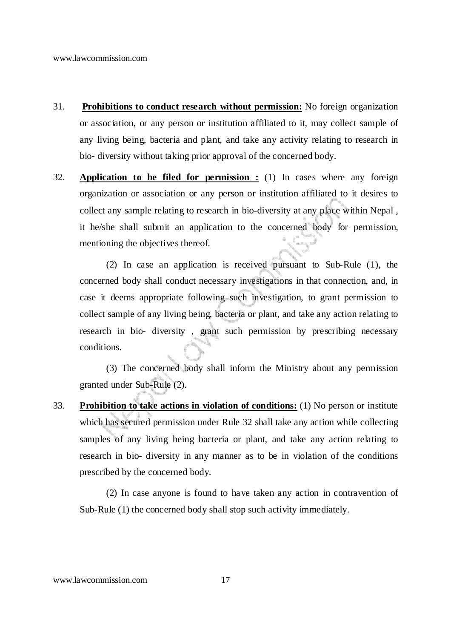- 31. **Prohibitions to conduct research without permission:** No foreign organization or association, or any person or institution affiliated to it, may collect sample of any living being, bacteria and plant, and take any activity relating to research in bio- diversity without taking prior approval of the concerned body.
- 32. **Application to be filed for permission :** (1) In cases where any foreign organization or association or any person or institution affiliated to it desires to collect any sample relating to research in bio-diversity at any place within Nepal , it he/she shall submit an application to the concerned body for permission, mentioning the objectives thereof.

(2) In case an application is received pursuant to Sub-Rule (1), the concerned body shall conduct necessary investigations in that connection, and, in case it deems appropriate following such investigation, to grant permission to collect sample of any living being, bacteria or plant, and take any action relating to research in bio- diversity , grant such permission by prescribing necessary conditions.

 (3) The concerned body shall inform the Ministry about any permission granted under Sub-Rule (2).

33. **Prohibition to take actions in violation of conditions:** (1) No person or institute which has secured permission under Rule 32 shall take any action while collecting samples of any living being bacteria or plant, and take any action relating to research in bio- diversity in any manner as to be in violation of the conditions prescribed by the concerned body.

(2) In case anyone is found to have taken any action in contravention of Sub-Rule (1) the concerned body shall stop such activity immediately.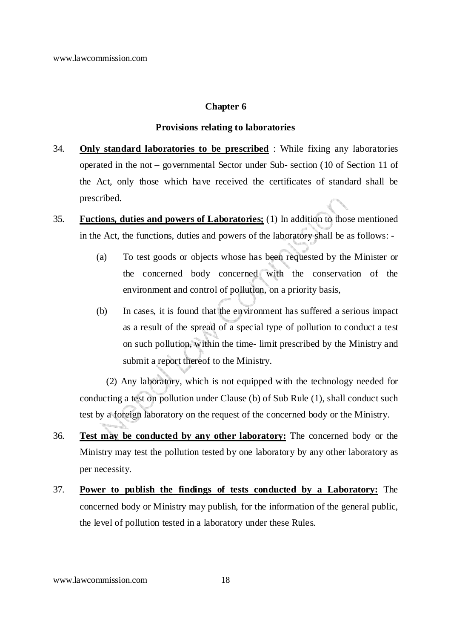#### **Chapter 6**

#### **Provisions relating to laboratories**

- 34. **Only standard laboratories to be prescribed** : While fixing any laboratories operated in the not – governmental Sector under Sub- section (10 of Section 11 of the Act, only those which have received the certificates of standard shall be prescribed.
- 35. **Fuctions, duties and powers of Laboratories;** (1) In addition to those mentioned in the Act, the functions, duties and powers of the laboratory shall be as follows: -
	- (a) To test goods or objects whose has been requested by the Minister or the concerned body concerned with the conservation of the environment and control of pollution, on a priority basis,
	- (b) In cases, it is found that the environment has suffered a serious impact as a result of the spread of a special type of pollution to conduct a test on such pollution, within the time- limit prescribed by the Ministry and submit a report thereof to the Ministry.

(2) Any laboratory, which is not equipped with the technology needed for conducting a test on pollution under Clause (b) of Sub Rule (1), shall conduct such test by a foreign laboratory on the request of the concerned body or the Ministry.

- 36. **Test may be conducted by any other laboratory:** The concerned body or the Ministry may test the pollution tested by one laboratory by any other laboratory as per necessity.
- 37. **Power to publish the findings of tests conducted by a Laboratory:** The concerned body or Ministry may publish, for the information of the general public, the level of pollution tested in a laboratory under these Rules.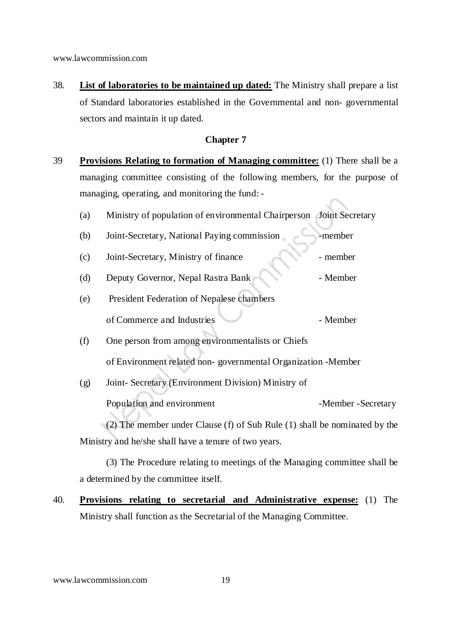38. **List of laboratories to be maintained up dated:** The Ministry shall prepare a list of Standard laboratories established in the Governmental and non- governmental sectors and maintain it up dated.

#### **Chapter 7**

39 **Provisions Relating to formation of Managing committee:** (1) There shall be a managing committee consisting of the following members, for the purpose of managing, operating, and monitoring the fund: -

| Ministry of population of environmental Chairperson Joint Secretary | (a) |  |  |  |  |  |  |  |  |
|---------------------------------------------------------------------|-----|--|--|--|--|--|--|--|--|
|---------------------------------------------------------------------|-----|--|--|--|--|--|--|--|--|

- (b) Joint-Secretary, National Paying commission member (c) Joint-Secretary, Ministry of finance - member (d) Deputy Governor, Nepal Rastra Bank - Member
- (e) President Federation of Nepalese chambers of Commerce and Industries - Member
- (f) One person from among environmentalists or Chiefs of Environment related non- governmental Organization -Member
- (g) Joint- Secretary (Environment Division) Ministry of Population and environment - Member - Secretary

(2) The member under Clause (f) of Sub Rule (1) shall be nominated by the Ministry and he/she shall have a tenure of two years.

(3) The Procedure relating to meetings of the Managing committee shall be a determined by the committee itself.

40. **Provisions relating to secretarial and Administrative expense:** (1) The Ministry shall function as the Secretarial of the Managing Committee.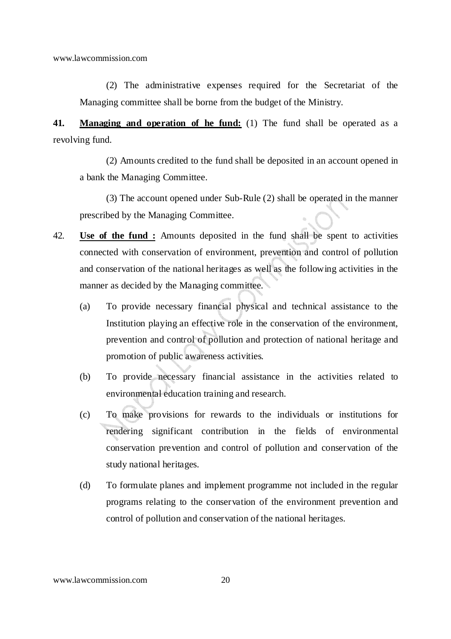(2) The administrative expenses required for the Secretariat of the Managing committee shall be borne from the budget of the Ministry.

**41. Managing and operation of he fund:** (1) The fund shall be operated as a revolving fund.

(2) Amounts credited to the fund shall be deposited in an account opened in a bank the Managing Committee.

(3) The account opened under Sub-Rule (2) shall be operated in the manner prescribed by the Managing Committee.

- 42. **Use of the fund :** Amounts deposited in the fund shall be spent to activities connected with conservation of environment, prevention and control of pollution and conservation of the national heritages as well as the following activities in the manner as decided by the Managing committee.
	- (a) To provide necessary financial physical and technical assistance to the Institution playing an effective role in the conservation of the environment, prevention and control of pollution and protection of national heritage and promotion of public awareness activities.
	- (b) To provide necessary financial assistance in the activities related to environmental education training and research.
	- (c) To make provisions for rewards to the individuals or institutions for rendering significant contribution in the fields of environmental conservation prevention and control of pollution and conservation of the study national heritages.
	- (d) To formulate planes and implement programme not included in the regular programs relating to the conservation of the environment prevention and control of pollution and conservation of the national heritages.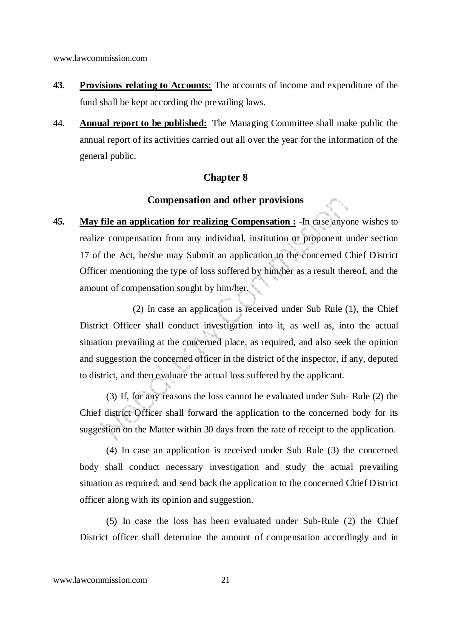- **43. Provisions relating to Accounts:** The accounts of income and expenditure of the fund shall be kept according the prevailing laws.
- 44. **Annual report to be published:** The Managing Committee shall make public the annual report of its activities carried out all over the year for the information of the general public.

### **Chapter 8**

#### **Compensation and other provisions**

**45. May file an application for realizing Compensation :** -In case anyone wishes to realize compensation from any individual, institution or proponent under section 17 of the Act, he/she may Submit an application to the concerned Chief District Officer mentioning the type of loss suffered by him/her as a result thereof, and the amount of compensation sought by him/her.

 (2) In case an application is received under Sub Rule (1), the Chief District Officer shall conduct investigation into it, as well as, into the actual situation prevailing at the concerned place, as required, and also seek the opinion and suggestion the concerned officer in the district of the inspector, if any, deputed to district, and then evaluate the actual loss suffered by the applicant.

(3) If, for any reasons the loss cannot be evaluated under Sub- Rule (2) the Chief district Officer shall forward the application to the concerned body for its suggestion on the Matter within 30 days from the rate of receipt to the application.

(4) In case an application is received under Sub Rule (3) the concerned body shall conduct necessary investigation and study the actual prevailing situation as required, and send back the application to the concerned Chief District officer along with its opinion and suggestion.

(5) In case the loss has been evaluated under Sub-Rule (2) the Chief District officer shall determine the amount of compensation accordingly and in

www.lawcommission.com 21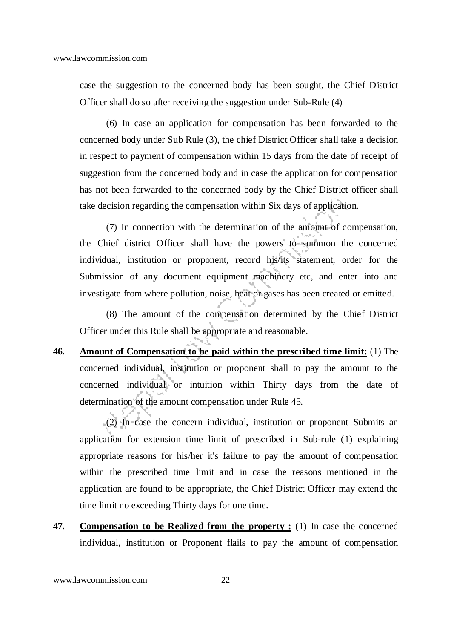case the suggestion to the concerned body has been sought, the Chief District Officer shall do so after receiving the suggestion under Sub-Rule (4)

(6) In case an application for compensation has been forwarded to the concerned body under Sub Rule (3), the chief District Officer shall take a decision in respect to payment of compensation within 15 days from the date of receipt of suggestion from the concerned body and in case the application for compensation has not been forwarded to the concerned body by the Chief District officer shall take decision regarding the compensation within Six days of application.

(7) In connection with the determination of the amount of compensation, the Chief district Officer shall have the powers to summon the concerned individual, institution or proponent, record his/its statement, order for the Submission of any document equipment machinery etc, and enter into and investigate from where pollution, noise, heat or gases has been created or emitted.

(8) The amount of the compensation determined by the Chief District Officer under this Rule shall be appropriate and reasonable.

**46. Amount of Compensation to be paid within the prescribed time limit:** (1) The concerned individual, institution or proponent shall to pay the amount to the concerned individual or intuition within Thirty days from the date of determination of the amount compensation under Rule 45.

(2) In case the concern individual, institution or proponent Submits an application for extension time limit of prescribed in Sub-rule (1) explaining appropriate reasons for his/her it's failure to pay the amount of compensation within the prescribed time limit and in case the reasons mentioned in the application are found to be appropriate, the Chief District Officer may extend the time limit no exceeding Thirty days for one time.

**47. Compensation to be Realized from the property :** (1) In case the concerned individual, institution or Proponent flails to pay the amount of compensation

www.lawcommission.com 22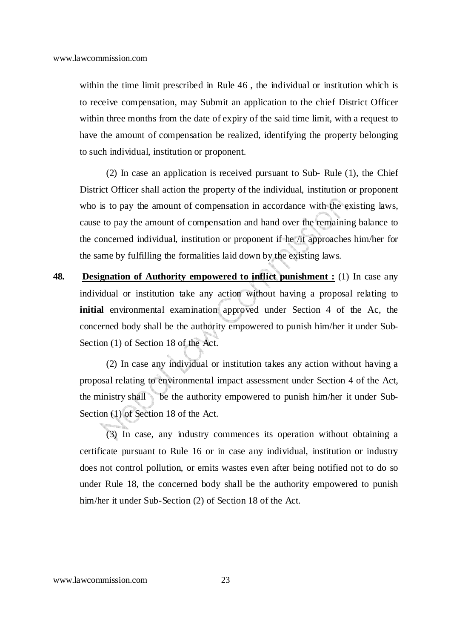within the time limit prescribed in Rule 46 , the individual or institution which is to receive compensation, may Submit an application to the chief District Officer within three months from the date of expiry of the said time limit, with a request to have the amount of compensation be realized, identifying the property belonging to such individual, institution or proponent.

(2) In case an application is received pursuant to Sub- Rule (1), the Chief District Officer shall action the property of the individual, institution or proponent who is to pay the amount of compensation in accordance with the existing laws, cause to pay the amount of compensation and hand over the remaining balance to the concerned individual, institution or proponent if he /it approaches him/her for the same by fulfilling the formalities laid down by the existing laws.

**48. Designation of Authority empowered to inflict punishment :** (1) In case any individual or institution take any action without having a proposal relating to **initial** environmental examination approved under Section 4 of the Ac, the concerned body shall be the authority empowered to punish him/her it under Sub-Section (1) of Section 18 of the Act.

 (2) In case any individual or institution takes any action without having a proposal relating to environmental impact assessment under Section 4 of the Act, the ministry shall be the authority empowered to punish him/her it under Sub- Section (1) of Section 18 of the Act.

(3) In case, any industry commences its operation without obtaining a certificate pursuant to Rule 16 or in case any individual, institution or industry does not control pollution, or emits wastes even after being notified not to do so under Rule 18, the concerned body shall be the authority empowered to punish him/her it under Sub-Section (2) of Section 18 of the Act.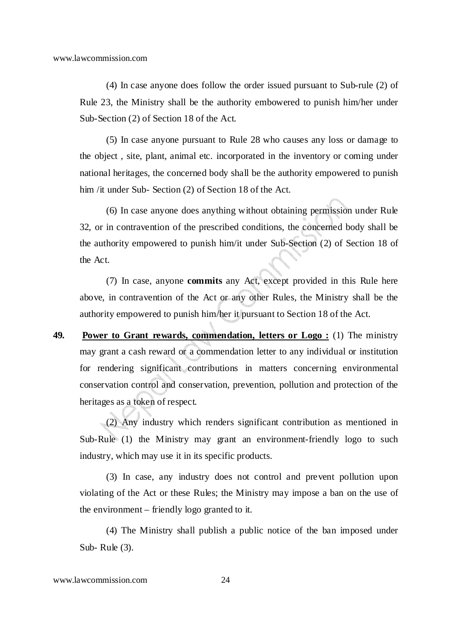(4) In case anyone does follow the order issued pursuant to Sub-rule (2) of Rule 23, the Ministry shall be the authority embowered to punish him/her under Sub-Section (2) of Section 18 of the Act.

(5) In case anyone pursuant to Rule 28 who causes any loss or damage to the object , site, plant, animal etc. incorporated in the inventory or coming under national heritages, the concerned body shall be the authority empowered to punish him /it under Sub- Section (2) of Section 18 of the Act.

(6) In case anyone does anything without obtaining permission under Rule 32, or in contravention of the prescribed conditions, the concerned body shall be the authority empowered to punish him/it under Sub-Section (2) of Section 18 of the Act.

(7) In case, anyone **commits** any Act, except provided in this Rule here above, in contravention of the Act or any other Rules, the Ministry shall be the authority empowered to punish him/her it pursuant to Section 18 of the Act.

**49. Power to Grant rewards, commendation, letters or Logo :** (1) The ministry may grant a cash reward or a commendation letter to any individual or institution for rendering significant contributions in matters concerning environmental conservation control and conservation, prevention, pollution and protection of the heritages as a token of respect.

(2) Any industry which renders significant contribution as mentioned in Sub-Rule (1) the Ministry may grant an environment-friendly logo to such industry, which may use it in its specific products.

(3) In case, any industry does not control and prevent pollution upon violating of the Act or these Rules; the Ministry may impose a ban on the use of the environment – friendly logo granted to it.

(4) The Ministry shall publish a public notice of the ban imposed under Sub- Rule (3).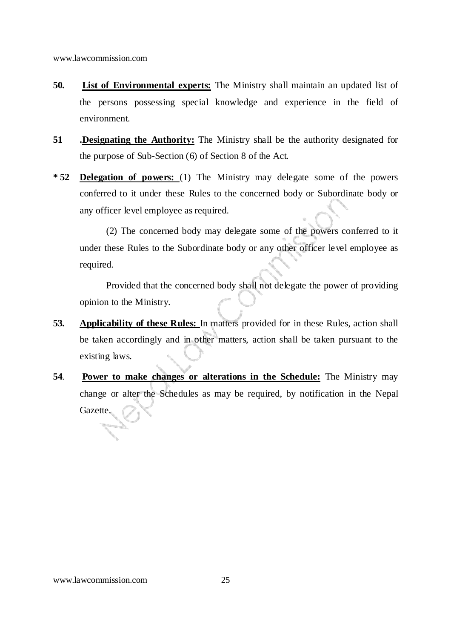- **50. List of Environmental experts:** The Ministry shall maintain an updated list of the persons possessing special knowledge and experience in the field of environment.
- **51 .Designating the Authority:** The Ministry shall be the authority designated for the purpose of Sub-Section (6) of Section 8 of the Act.
- **\* 52 Delegation of powers:** (1) The Ministry may delegate some of the powers conferred to it under these Rules to the concerned body or Subordinate body or any officer level employee as required.

(2) The concerned body may delegate some of the powers conferred to it under these Rules to the Subordinate body or any other officer level employee as required.

Provided that the concerned body shall not delegate the power of providing opinion to the Ministry.

- **53. Applicability of these Rules:** In matters provided for in these Rules, action shall be taken accordingly and in other matters, action shall be taken pursuant to the existing laws.
- **54**. **Power to make changes or alterations in the Schedule:** The Ministry may change or alter the Schedules as may be required, by notification in the Nepal Gazette.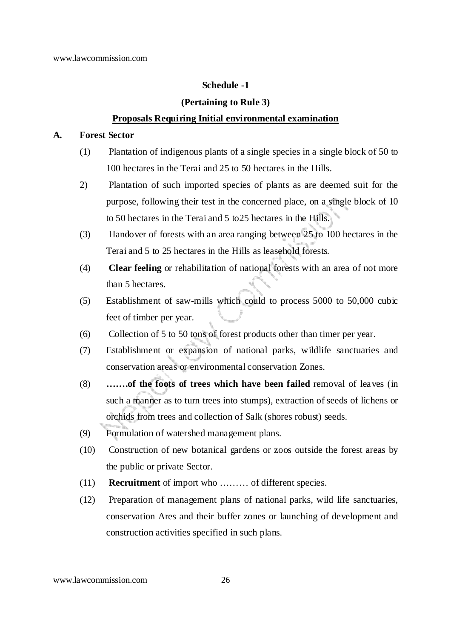#### **Schedule -1**

#### **(Pertaining to Rule 3)**

#### **Proposals Requiring Initial environmental examination**

#### **A. Forest Sector**

- (1) Plantation of indigenous plants of a single species in a single block of 50 to 100 hectares in the Terai and 25 to 50 hectares in the Hills.
- 2) Plantation of such imported species of plants as are deemed suit for the purpose, following their test in the concerned place, on a single block of 10 to 50 hectares in the Terai and 5 to25 hectares in the Hills.
- (3) Handover of forests with an area ranging between 25 to 100 hectares in the Terai and 5 to 25 hectares in the Hills as leasehold forests.
- (4) **Clear feeling** or rehabilitation of national forests with an area of not more than 5 hectares.
- (5) Establishment of saw-mills which could to process 5000 to 50,000 cubic feet of timber per year.
- (6) Collection of 5 to 50 tons of forest products other than timer per year.
- (7) Establishment or expansion of national parks, wildlife sanctuaries and conservation areas or environmental conservation Zones.
- (8) **…….of the foots of trees which have been failed** removal of leaves (in such a manner as to turn trees into stumps), extraction of seeds of lichens or orchids from trees and collection of Salk (shores robust) seeds.
- (9) Formulation of watershed management plans.
- (10) Construction of new botanical gardens or zoos outside the forest areas by the public or private Sector.
- (11) **Recruitment** of import who ……… of different species.
- (12) Preparation of management plans of national parks, wild life sanctuaries, conservation Ares and their buffer zones or launching of development and construction activities specified in such plans.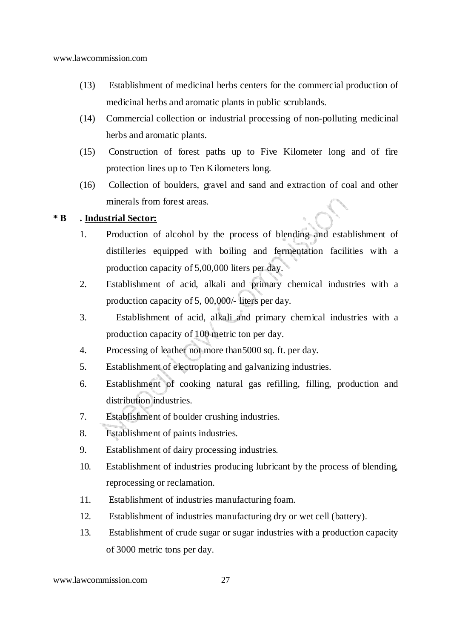- (13) Establishment of medicinal herbs centers for the commercial production of medicinal herbs and aromatic plants in public scrublands.
- (14) Commercial collection or industrial processing of non-polluting medicinal herbs and aromatic plants.
- (15) Construction of forest paths up to Five Kilometer long and of fire protection lines up to Ten Kilometers long.
- (16) Collection of boulders, gravel and sand and extraction of coal and other minerals from forest areas.

### **\* B . Industrial Sector:**

- 1. Production of alcohol by the process of blending and establishment of distilleries equipped with boiling and fermentation facilities with a production capacity of 5,00,000 liters per day.
- 2. Establishment of acid, alkali and primary chemical industries with a production capacity of 5, 00,000/- liters per day.
- 3. Establishment of acid, alkali and primary chemical industries with a production capacity of 100 metric ton per day.
- 4. Processing of leather not more than5000 sq. ft. per day.
- 5. Establishment of electroplating and galvanizing industries.
- 6. Establishment of cooking natural gas refilling, filling, production and distribution industries.
- 7. Establishment of boulder crushing industries.
- 8. Establishment of paints industries.
- 9. Establishment of dairy processing industries.
- 10. Establishment of industries producing lubricant by the process of blending, reprocessing or reclamation.
- 11. Establishment of industries manufacturing foam.
- 12. Establishment of industries manufacturing dry or wet cell (battery).
- 13. Establishment of crude sugar or sugar industries with a production capacity of 3000 metric tons per day.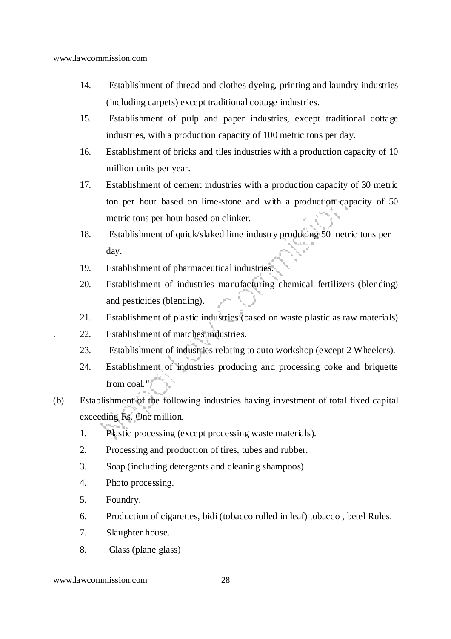- 14. Establishment of thread and clothes dyeing, printing and laundry industries (including carpets) except traditional cottage industries.
- 15. Establishment of pulp and paper industries, except traditional cottage industries, with a production capacity of 100 metric tons per day.
- 16. Establishment of bricks and tiles industries with a production capacity of 10 million units per year.
- 17. Establishment of cement industries with a production capacity of 30 metric ton per hour based on lime-stone and with a production capacity of 50 metric tons per hour based on clinker.
- 18. Establishment of quick/slaked lime industry producing 50 metric tons per day.
- 19. Establishment of pharmaceutical industries.
- 20. Establishment of industries manufacturing chemical fertilizers (blending) and pesticides (blending).
- 21. Establishment of plastic industries (based on waste plastic as raw materials)
- . 22. Establishment of matches industries.
- 23. Establishment of industries relating to auto workshop (except 2 Wheelers).
- 24. Establishment of industries producing and processing coke and briquette from coal."
- (b) Establishment of the following industries having investment of total fixed capital exceeding Rs. One million.
	- 1. Plastic processing (except processing waste materials).
	- 2. Processing and production of tires, tubes and rubber.
	- 3. Soap (including detergents and cleaning shampoos).
	- 4. Photo processing.
	- 5. Foundry.
	- 6. Production of cigarettes, bidi (tobacco rolled in leaf) tobacco , betel Rules.
	- 7. Slaughter house.
	- 8. Glass (plane glass)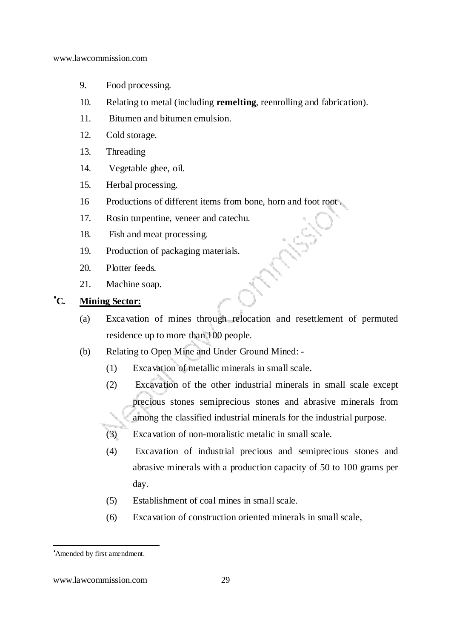- 9. Food processing.
- 10. Relating to metal (including **remelting**, reenrolling and fabrication).
- 11. Bitumen and bitumen emulsion.
- 12. Cold storage.
- 13. Threading
- 14. Vegetable ghee, oil.
- 15. Herbal processing.
- 16 Productions of different items from bone, horn and foot root .
- 17. Rosin turpentine, veneer and catechu.
- 18. Fish and meat processing.
- 19. Production of packaging materials.
- 20. Plotter feeds.
- 21. Machine soap.

# •**C. Mining Sector:**

- (a) Excavation of mines through relocation and resettlement of permuted residence up to more than 100 people.
- (b) Relating to Open Mine and Under Ground Mined:
	- (1) Excavation of metallic minerals in small scale.
	- (2) Excavation of the other industrial minerals in small scale except precious stones semiprecious stones and abrasive minerals from among the classified industrial minerals for the industrial purpose.
	- (3) Excavation of non-moralistic metalic in small scale.
	- (4) Excavation of industrial precious and semiprecious stones and abrasive minerals with a production capacity of 50 to 100 grams per day.
	- (5) Establishment of coal mines in small scale.
	- (6) Excavation of construction oriented minerals in small scale,

<sup>•</sup>Amended by first amendment.

www.lawcommission.com 29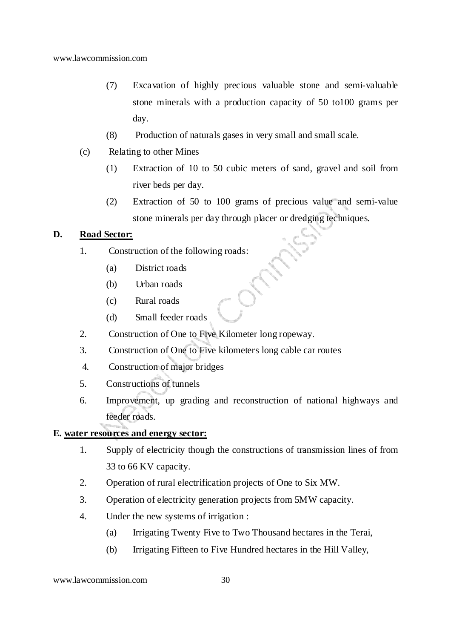- (7) Excavation of highly precious valuable stone and semi-valuable stone minerals with a production capacity of 50 to100 grams per day.
- (8) Production of naturals gases in very small and small scale.
- (c) Relating to other Mines
	- (1) Extraction of 10 to 50 cubic meters of sand, gravel and soil from river beds per day.
	- (2) Extraction of 50 to 100 grams of precious value and semi-value stone minerals per day through placer or dredging techniques.

#### **D. Road Sector:**

- 1. Construction of the following roads:
	- (a) District roads
	- (b) Urban roads
	- (c) Rural roads
	- (d) Small feeder roads
- 2. Construction of One to Five Kilometer long ropeway.
- 3. Construction of One to Five kilometers long cable car routes
- 4. Construction of major bridges
- 5. Constructions of tunnels
- 6. Improvement, up grading and reconstruction of national highways and feeder roads.

## **E. water resources and energy sector:**

- 1. Supply of electricity though the constructions of transmission lines of from 33 to 66 KV capacity.
- 2. Operation of rural electrification projects of One to Six MW.
- 3. Operation of electricity generation projects from 5MW capacity.
- 4. Under the new systems of irrigation :
	- (a) Irrigating Twenty Five to Two Thousand hectares in the Terai,
	- (b) Irrigating Fifteen to Five Hundred hectares in the Hill Valley,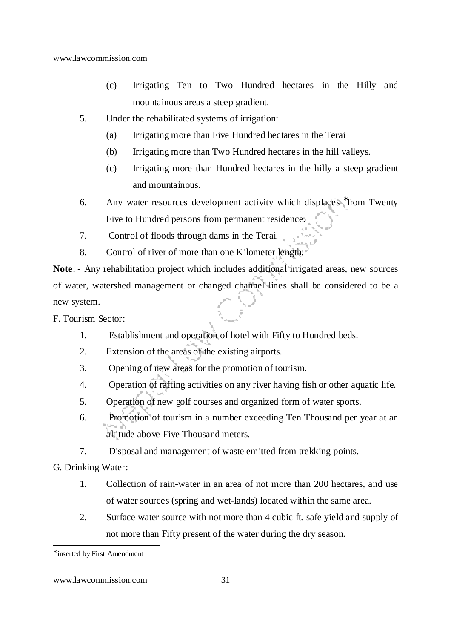- (c) Irrigating Ten to Two Hundred hectares in the Hilly and mountainous areas a steep gradient.
- 5. Under the rehabilitated systems of irrigation:
	- (a) Irrigating more than Five Hundred hectares in the Terai
	- (b) Irrigating more than Two Hundred hectares in the hill valleys.
	- (c) Irrigating more than Hundred hectares in the hilly a steep gradient and mountainous.
- 6. Any water resources development activity which displaces <sup>\*</sup>from Twenty Five to Hundred persons from permanent residence.
- 7. Control of floods through dams in the Terai.
- 8. Control of river of more than one Kilometer length.

**Note**: - Any rehabilitation project which includes additional irrigated areas, new sources of water, watershed management or changed channel lines shall be considered to be a new system.

F. Tourism Sector:

- 1. Establishment and operation of hotel with Fifty to Hundred beds.
- 2. Extension of the areas of the existing airports.
- 3. Opening of new areas for the promotion of tourism.
- 4. Operation of rafting activities on any river having fish or other aquatic life.
- 5. Operation of new golf courses and organized form of water sports.
- 6. Promotion of tourism in a number exceeding Ten Thousand per year at an altitude above Five Thousand meters.
- 7. Disposal and management of waste emitted from trekking points.

G. Drinking Water:

- 1. Collection of rain-water in an area of not more than 200 hectares, and use of water sources (spring and wet-lands) located within the same area.
- 2. Surface water source with not more than 4 cubic ft. safe yield and supply of not more than Fifty present of the water during the dry season.

<sup>∗</sup> inserted by First Amendment

www.lawcommission.com 31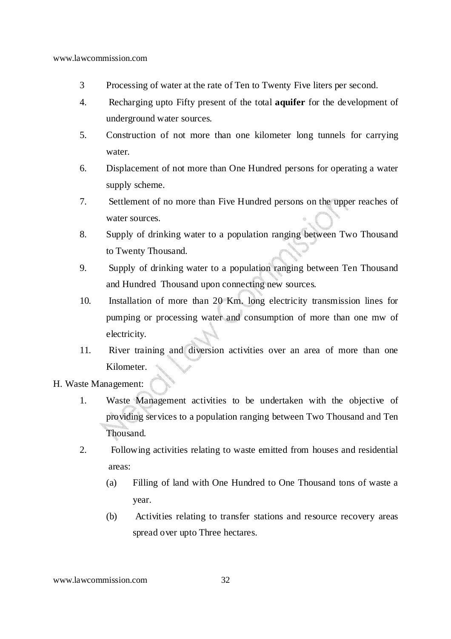- 3 Processing of water at the rate of Ten to Twenty Five liters per second.
- 4. Recharging upto Fifty present of the total **aquifer** for the development of underground water sources.
- 5. Construction of not more than one kilometer long tunnels for carrying water.
- 6. Displacement of not more than One Hundred persons for operating a water supply scheme.
- 7. Settlement of no more than Five Hundred persons on the upper reaches of water sources.
- 8. Supply of drinking water to a population ranging between Two Thousand to Twenty Thousand.
- 9. Supply of drinking water to a population ranging between Ten Thousand and Hundred Thousand upon connecting new sources.
- 10. Installation of more than 20 Km. long electricity transmission lines for pumping or processing water and consumption of more than one mw of electricity.
- 11. River training and diversion activities over an area of more than one Kilometer.
- H. Waste Management:
	- 1. Waste Management activities to be undertaken with the objective of providing services to a population ranging between Two Thousand and Ten Thousand.
	- 2. Following activities relating to waste emitted from houses and residential areas:
		- (a) Filling of land with One Hundred to One Thousand tons of waste a year.
		- (b) Activities relating to transfer stations and resource recovery areas spread over upto Three hectares.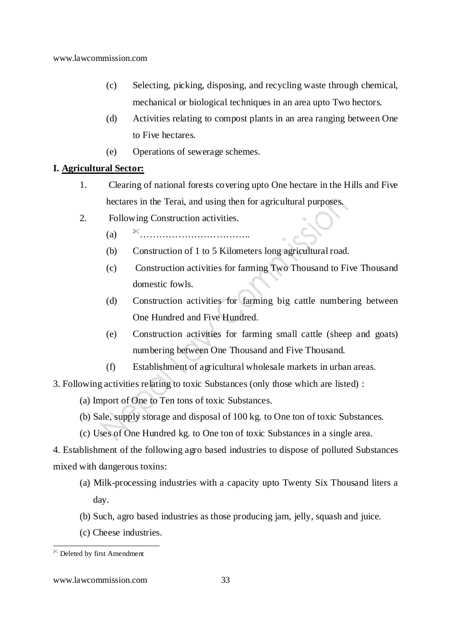- (c) Selecting, picking, disposing, and recycling waste through chemical, mechanical or biological techniques in an area upto Two hectors.
- (d) Activities relating to compost plants in an area ranging between One to Five hectares.
- (e) Operations of sewerage schemes.

# **I. Agricultural Sector:**

- 1. Clearing of national forests covering upto One hectare in the Hills and Five hectares in the Terai, and using then for agricultural purposes.
- 2. Following Construction activities.
	- (a) ……………………………..
	- (b) Construction of 1 to 5 Kilometers long agricultural road.
	- (c) Construction activities for farming Two Thousand to Five Thousand domestic fowls.
	- (d) Construction activities for farming big cattle numbering between One Hundred and Five Hundred.
	- (e) Construction activities for farming small cattle (sheep and goats) numbering between One Thousand and Five Thousand.
	- (f) Establishment of agricultural wholesale markets in urban areas.
- 3. Following activities relating to toxic Substances (only those which are listed) :
	- (a) Import of One to Ten tons of toxic Substances.
	- (b) Sale, supply storage and disposal of 100 kg. to One ton of toxic Substances.
	- (c) Uses of One Hundred kg. to One ton of toxic Substances in a single area.

4. Establishment of the following agro based industries to dispose of polluted Substances mixed with dangerous toxins:

- (a) Milk-processing industries with a capacity upto Twenty Six Thousand liters a day.
- (b) Such, agro based industries as those producing jam, jelly, squash and juice.
- (c) Cheese industries.

<sup>-</sup>Deleted by first Amendment

www.lawcommission.com 33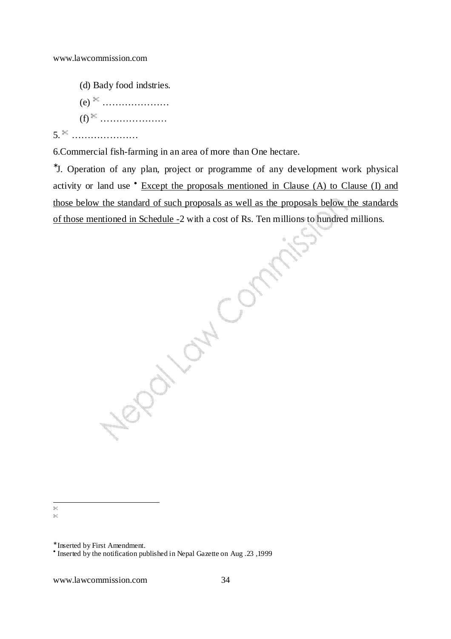(d) Bady food indstries. (e) ………………… (f) ………………… 5. …………………

6.Commercial fish-farming in an area of more than One hectare.

∗ J. Operation of any plan, project or programme of any development work physical activity or land use  $\bullet$  Except the proposals mentioned in Clause (A) to Clause (I) and those below the standard of such proposals as well as the proposals below the standards<br>of those mentioned in Schedule -2 with a cost of Rs. Ten millions to hundred millions. of those mentioned in Schedule -2 with a cost of Rs. Ten millions to hundred millions.

-×  $\!\!>\!\!$ 

<sup>∗</sup> Inserted by First Amendment.

<sup>-</sup> Inserted by the notification published in Nepal Gazette on Aug .23 ,1999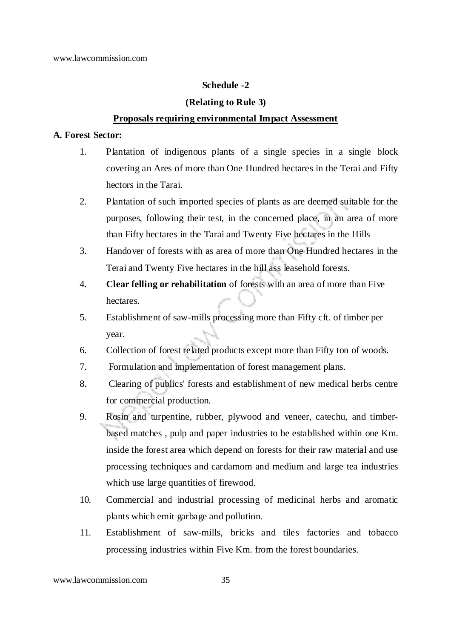# **Schedule -2**

## **(Relating to Rule 3)**

### **Proposals requiring environmental Impact Assessment**

#### **A. Forest Sector:**

- 1. Plantation of indigenous plants of a single species in a single block covering an Ares of more than One Hundred hectares in the Terai and Fifty hectors in the Tarai.
- 2. Plantation of such imported species of plants as are deemed suitable for the purposes, following their test, in the concerned place, in an area of more than Fifty hectares in the Tarai and Twenty Five hectares in the Hills
- 3. Handover of forests with as area of more than One Hundred hectares in the Terai and Twenty Five hectares in the hill ass leasehold forests.
- 4. **Clear felling or rehabilitation** of forests with an area of more than Five hectares.
- 5. Establishment of saw-mills processing more than Fifty cft. of timber per year.
- 6. Collection of forest related products except more than Fifty ton of woods.
- 7. Formulation and implementation of forest management plans.
- 8. Clearing of publics' forests and establishment of new medical herbs centre for commercial production.
- 9. Rosin and turpentine, rubber, plywood and veneer, catechu, and timberbased matches , pulp and paper industries to be established within one Km. inside the forest area which depend on forests for their raw material and use processing techniques and cardamom and medium and large tea industries which use large quantities of firewood.
- 10. Commercial and industrial processing of medicinal herbs and aromatic plants which emit garbage and pollution.
- 11. Establishment of saw-mills, bricks and tiles factories and tobacco processing industries within Five Km. from the forest boundaries.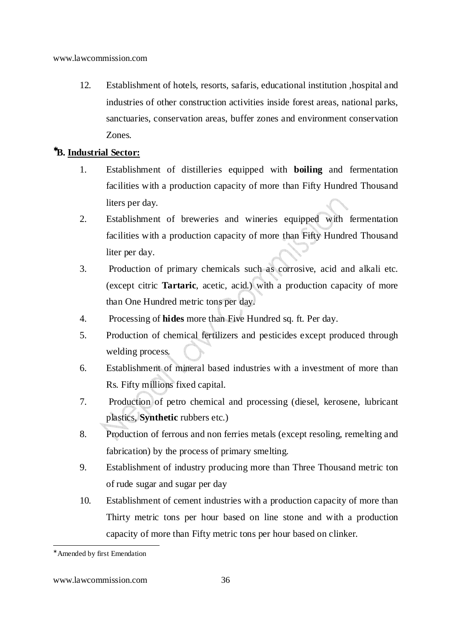12. Establishment of hotels, resorts, safaris, educational institution ,hospital and industries of other construction activities inside forest areas, national parks, sanctuaries, conservation areas, buffer zones and environment conservation Zones.

# <sup>∗</sup>**B. Industrial Sector:**

- 1. Establishment of distilleries equipped with **boiling** and fermentation facilities with a production capacity of more than Fifty Hundred Thousand liters per day.
- 2. Establishment of breweries and wineries equipped with fermentation facilities with a production capacity of more than Fifty Hundred Thousand liter per day.
- 3. Production of primary chemicals such as corrosive, acid and alkali etc. (except citric **Tartaric**, acetic, acid.) with a production capacity of more than One Hundred metric tons per day.
- 4. Processing of **hides** more than Five Hundred sq. ft. Per day.
- 5. Production of chemical fertilizers and pesticides except produced through welding process.
- 6. Establishment of mineral based industries with a investment of more than Rs. Fifty millions fixed capital.
- 7. Production of petro chemical and processing (diesel, kerosene, lubricant plastics, **Synthetic** rubbers etc.)
- 8. Production of ferrous and non ferries metals (except resoling, remelting and fabrication) by the process of primary smelting.
- 9. Establishment of industry producing more than Three Thousand metric ton of rude sugar and sugar per day
- 10. Establishment of cement industries with a production capacity of more than Thirty metric tons per hour based on line stone and with a production capacity of more than Fifty metric tons per hour based on clinker.

<sup>-</sup>∗ Amended by first Emendation

www.lawcommission.com 36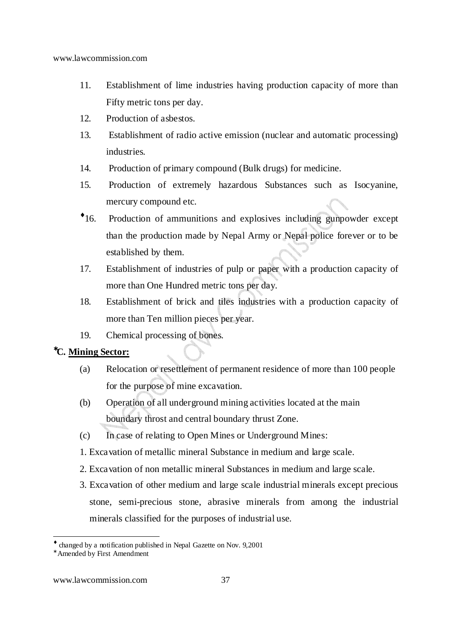- 11. Establishment of lime industries having production capacity of more than Fifty metric tons per day.
- 12. Production of asbestos.
- 13. Establishment of radio active emission (nuclear and automatic processing) industries.
- 14. Production of primary compound (Bulk drugs) for medicine.
- 15. Production of extremely hazardous Substances such as Isocyanine, mercury compound etc.
- $\cdot$ 16. 16. Production of ammunitions and explosives including gunpowder except than the production made by Nepal Army or Nepal police forever or to be established by them.
- 17. Establishment of industries of pulp or paper with a production capacity of more than One Hundred metric tons per day.
- 18. Establishment of brick and tiles industries with a production capacity of more than Ten million pieces per year.
- 19. Chemical processing of bones.

### <sup>∗</sup>**C. Mining Sector:**

- (a) Relocation or resettlement of permanent residence of more than 100 people for the purpose of mine excavation.
- (b) Operation of all underground mining activities located at the main boundary throst and central boundary thrust Zone.
- (c) In case of relating to Open Mines or Underground Mines:
- 1. Excavation of metallic mineral Substance in medium and large scale.
- 2. Excavation of non metallic mineral Substances in medium and large scale.
- 3. Excavation of other medium and large scale industrial minerals except precious stone, semi-precious stone, abrasive minerals from among the industrial minerals classified for the purposes of industrial use.

<sup>♦</sup> changed by a notification published in Nepal Gazette on Nov. 9,2001

<sup>∗</sup> Amended by First Amendment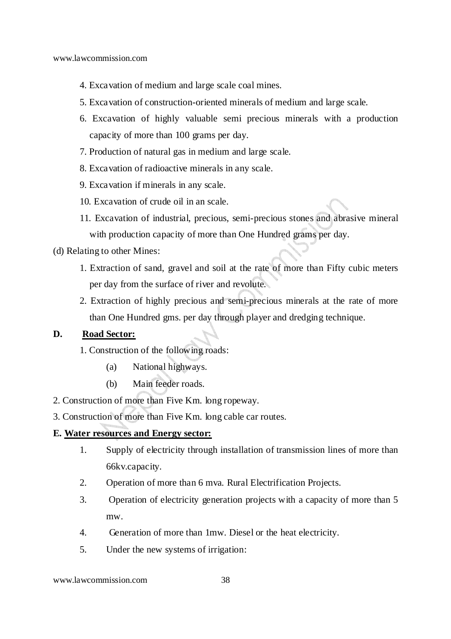- 4. Excavation of medium and large scale coal mines.
- 5. Excavation of construction-oriented minerals of medium and large scale.
- 6. Excavation of highly valuable semi precious minerals with a production capacity of more than 100 grams per day.
- 7. Production of natural gas in medium and large scale.
- 8. Excavation of radioactive minerals in any scale.
- 9. Excavation if minerals in any scale.
- 10. Excavation of crude oil in an scale.
- 11. Excavation of industrial, precious, semi-precious stones and abrasive mineral with production capacity of more than One Hundred grams per day.

### (d) Relating to other Mines:

- 1. Extraction of sand, gravel and soil at the rate of more than Fifty cubic meters per day from the surface of river and revolute.
- 2. Extraction of highly precious and semi-precious minerals at the rate of more than One Hundred gms. per day through player and dredging technique.

### **D. Road Sector:**

- 1. Construction of the following roads:
	- (a) National highways.
	- (b) Main feeder roads.
- 2. Construction of more than Five Km. long ropeway.
- 3. Construction of more than Five Km. long cable car routes.

### **E. Water resources and Energy sector:**

- 1. Supply of electricity through installation of transmission lines of more than 66kv.capacity.
- 2. Operation of more than 6 mva. Rural Electrification Projects.
- 3. Operation of electricity generation projects with a capacity of more than 5 mw.
- 4. Generation of more than 1mw. Diesel or the heat electricity.
- 5. Under the new systems of irrigation: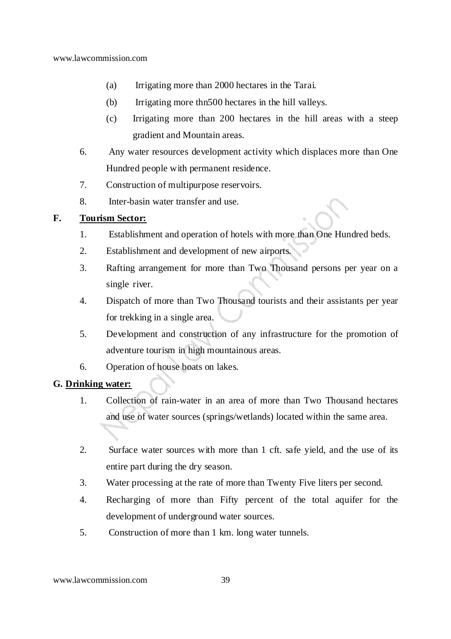- (a) Irrigating more than 2000 hectares in the Tarai.
- (b) Irrigating more thn500 hectares in the hill valleys.
- (c) Irrigating more than 200 hectares in the hill areas with a steep gradient and Mountain areas.
- 6. Any water resources development activity which displaces more than One Hundred people with permanent residence.
- 7. Construction of multipurpose reservoirs.
- 8. Inter-basin water transfer and use.

### **F. Tourism Sector:**

- 1. Establishment and operation of hotels with more than One Hundred beds.
- 2. Establishment and development of new airports.
- 3. Rafting arrangement for more than Two Thousand persons per year on a single river.
- 4. Dispatch of more than Two Thousand tourists and their assistants per year for trekking in a single area.
- 5. Development and construction of any infrastructure for the promotion of adventure tourism in high mountainous areas.
- 6. Operation of house boats on lakes.

### **G. Drinking water:**

- 1. Collection of rain-water in an area of more than Two Thousand hectares and use of water sources (springs/wetlands) located within the same area.
- 2. Surface water sources with more than 1 cft. safe yield, and the use of its entire part during the dry season.
- 3. Water processing at the rate of more than Twenty Five liters per second.
- 4. Recharging of more than Fifty percent of the total aquifer for the development of underground water sources.
- 5. Construction of more than 1 km. long water tunnels.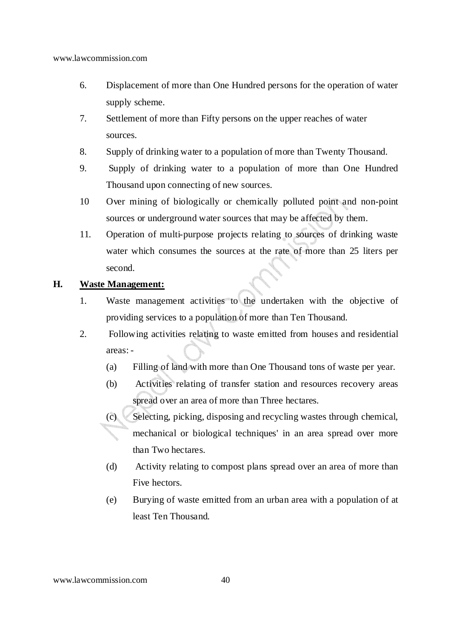- 6. Displacement of more than One Hundred persons for the operation of water supply scheme.
- 7. Settlement of more than Fifty persons on the upper reaches of water sources.
- 8. Supply of drinking water to a population of more than Twenty Thousand.
- 9. Supply of drinking water to a population of more than One Hundred Thousand upon connecting of new sources.
- 10 Over mining of biologically or chemically polluted point and non-point sources or underground water sources that may be affected by them.
- 11. Operation of multi-purpose projects relating to sources of drinking waste water which consumes the sources at the rate of more than 25 liters per second.

# **H. Waste Management:**

- 1. Waste management activities to the undertaken with the objective of providing services to a population of more than Ten Thousand.
- 2. Following activities relating to waste emitted from houses and residential areas: -
	- (a) Filling of land with more than One Thousand tons of waste per year.
	- (b) Activities relating of transfer station and resources recovery areas spread over an area of more than Three hectares.
	- (c) Selecting, picking, disposing and recycling wastes through chemical, mechanical or biological techniques' in an area spread over more than Two hectares.
		- (d) Activity relating to compost plans spread over an area of more than Five hectors.
		- (e) Burying of waste emitted from an urban area with a population of at least Ten Thousand.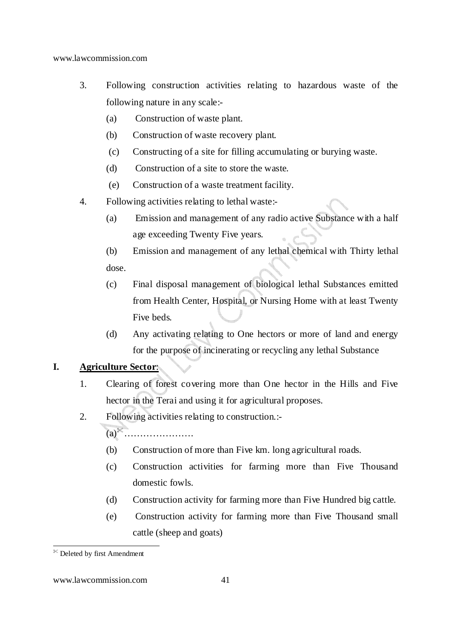- 3. Following construction activities relating to hazardous waste of the following nature in any scale:-
	- (a) Construction of waste plant.
	- (b) Construction of waste recovery plant.
	- (c) Constructing of a site for filling accumulating or burying waste.
	- (d) Construction of a site to store the waste.
	- (e) Construction of a waste treatment facility.
- 4. Following activities relating to lethal waste:-
	- (a) Emission and management of any radio active Substance with a half age exceeding Twenty Five years.
	- (b) Emission and management of any lethal chemical with Thirty lethal dose.
	- (c) Final disposal management of biological lethal Substances emitted from Health Center, Hospital, or Nursing Home with at least Twenty Five beds.
	- (d) Any activating relating to One hectors or more of land and energy for the purpose of incinerating or recycling any lethal Substance

# **I. Agriculture Sector**:

- 1. Clearing of forest covering more than One hector in the Hills and Five hector in the Terai and using it for agricultural proposes.
- 2. Following activities relating to construction.:-

(a)………………….

- (b) Construction of more than Five km. long agricultural roads.
- (c) Construction activities for farming more than Five Thousand domestic fowls.
- (d) Construction activity for farming more than Five Hundred big cattle.
- (e) Construction activity for farming more than Five Thousand small cattle (sheep and goats)

<sup>-</sup>Deleted by first Amendment

www.lawcommission.com 41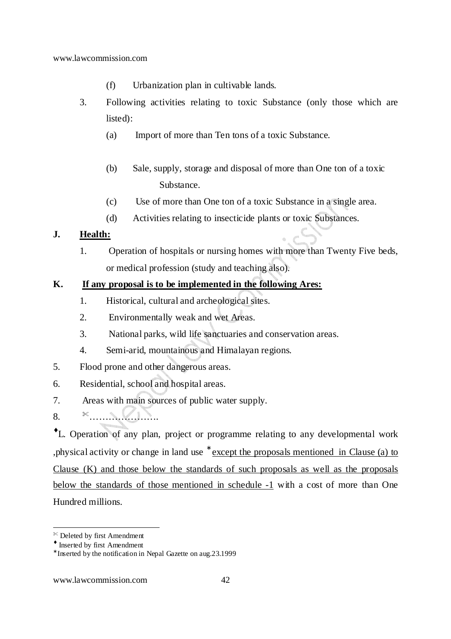- (f) Urbanization plan in cultivable lands.
- 3. Following activities relating to toxic Substance (only those which are listed):
	- (a) Import of more than Ten tons of a toxic Substance.
	- (b) Sale, supply, storage and disposal of more than One ton of a toxic Substance.
	- (c) Use of more than One ton of a toxic Substance in a single area.
	- (d) Activities relating to insecticide plants or toxic Substances.

# **J. Health:**

1. Operation of hospitals or nursing homes with more than Twenty Five beds, or medical profession (study and teaching also).

### **K. If any proposal is to be implemented in the following Ares:**

- 1. Historical, cultural and archeological sites.
- 2. Environmentally weak and wet Areas.
- 3. National parks, wild life sanctuaries and conservation areas.
- 4. Semi-arid, mountainous and Himalayan regions.
- 5. Flood prone and other dangerous areas.
- 6. Residential, school and hospital areas.
- 7. Areas with main sources of public water supply.
- 8. ………………….

♦L. Operation of any plan, project or programme relating to any developmental work , physical activity or change in land use <sup>\*</sup> except the proposals mentioned in Clause (a) to Clause (K) and those below the standards of such proposals as well as the proposals below the standards of those mentioned in schedule -1 with a cost of more than One Hundred millions.

Deleted by first Amendment

<sup>♦</sup> Inserted by first Amendment

<sup>∗</sup> Inserted by the notification in Nepal Gazette on aug.23.1999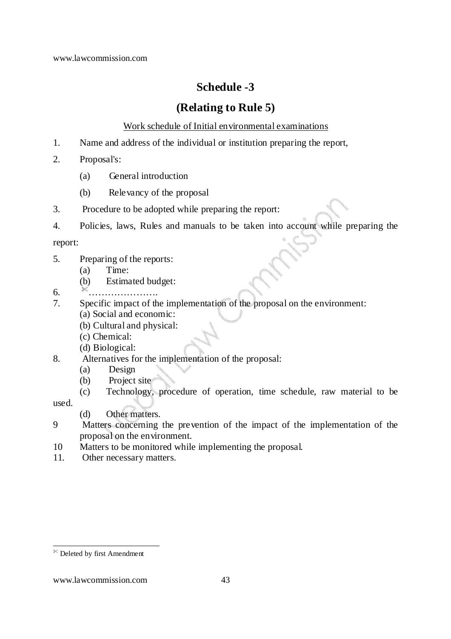# **Schedule -3**

# **(Relating to Rule 5)**

Work schedule of Initial environmental examinations

- 1. Name and address of the individual or institution preparing the report,
- 2. Proposal's:
	- (a) General introduction
	- (b) Relevancy of the proposal
- 3. Procedure to be adopted while preparing the report:
- 4. Policies, laws, Rules and manuals to be taken into account while preparing the

report:

- 5. Preparing of the reports:
	- (a) Time:
	- (b) Estimated budget:
- 6. ………………….
- 7. Specific impact of the implementation of the proposal on the environment:
	- (a) Social and economic:
		- (b) Cultural and physical:
		- (c) Chemical:
		- (d) Biological:
- 8. Alternatives for the implementation of the proposal:
	- (a) Design
	- (b) Project site
	- (c) Technology, procedure of operation, time schedule, raw material to be

used.

- (d) Other matters.
- 9 Matters concerning the prevention of the impact of the implementation of the proposal on the environment.
- 10 Matters to be monitored while implementing the proposal.
- 11. Other necessary matters.

Deleted by first Amendment

www.lawcommission.com 43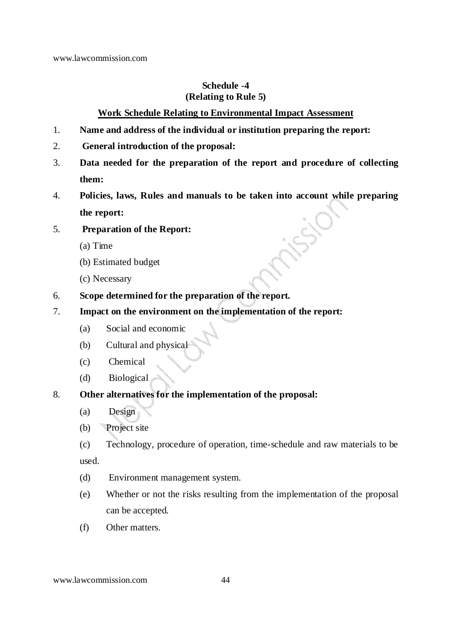# **Schedule -4 (Relating to Rule 5)**

# **Work Schedule Relating to Environmental Impact Assessment**

- 1. **Name and address of the individual or institution preparing the report:**
- 2. **General introduction of the proposal:**
- 3. **Data needed for the preparation of the report and procedure of collecting them:**
- 4. **Policies, laws, Rules and manuals to be taken into account while preparing the report:**

# 5. **Preparation of the Report:**

- (a) Time
- (b) Estimated budget
- (c) Necessary
- 6. **Scope determined for the preparation of the report.**
- 7. **Impact on the environment on the implementation of the report:** 
	- (a) Social and economic
	- (b) Cultural and physical
	- (c) Chemical
	- (d) Biological

# 8. **Other alternatives for the implementation of the proposal:**

- (a) Design
- (b) Project site
- (c) Technology, procedure of operation, time-schedule and raw materials to be used.
- (d) Environment management system.
- (e) Whether or not the risks resulting from the implementation of the proposal can be accepted.
- (f) Other matters.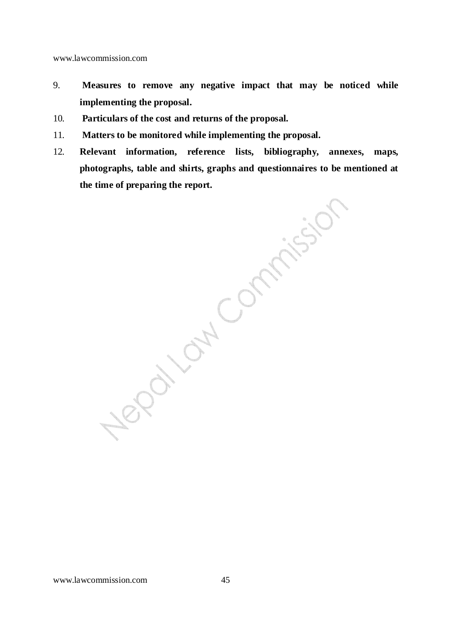- 9. **Measures to remove any negative impact that may be noticed while implementing the proposal.**
- 10. **Particulars of the cost and returns of the proposal.**
- 11. **Matters to be monitored while implementing the proposal.**
- 12. **Relevant information, reference lists, bibliography, annexes, maps, photographs, table and shirts, graphs and questionnaires to be mentioned at the time of preparing the report.**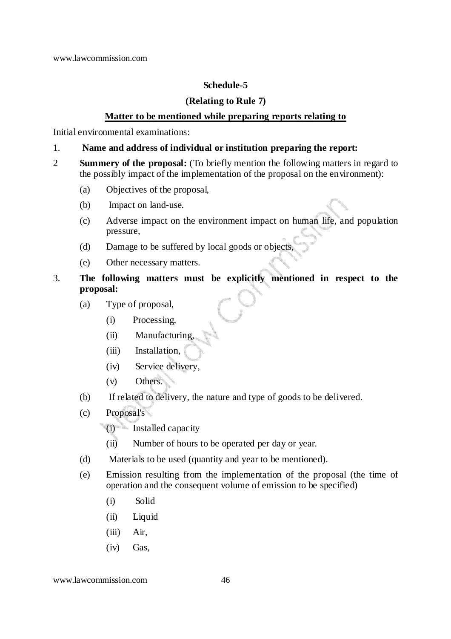# **Schedule-5**

# **(Relating to Rule 7)**

### **Matter to be mentioned while preparing reports relating to**

Initial environmental examinations:

### 1. **Name and address of individual or institution preparing the report:**

- 2 **Summery of the proposal:** (To briefly mention the following matters in regard to the possibly impact of the implementation of the proposal on the environment):
	- (a) Objectives of the proposal,
	- (b) Impact on land-use.
	- (c) Adverse impact on the environment impact on human life, and population pressure,
	- (d) Damage to be suffered by local goods or objects,
	- (e) Other necessary matters.
- 3. **The following matters must be explicitly mentioned in respect to the proposal:** 
	- (a) Type of proposal,
		- (i) Processing,
		- (ii) Manufacturing,
		- (iii) Installation,
		- (iv) Service delivery,
		- (v) Others.
	- (b) If related to delivery, the nature and type of goods to be delivered.
	- (c) Proposal's
		- (i) Installed capacity
		- (ii) Number of hours to be operated per day or year.
	- (d) Materials to be used (quantity and year to be mentioned).
	- (e) Emission resulting from the implementation of the proposal (the time of operation and the consequent volume of emission to be specified)
		- (i) Solid
		- (ii) Liquid
		- (iii) Air,
		- (iv) Gas,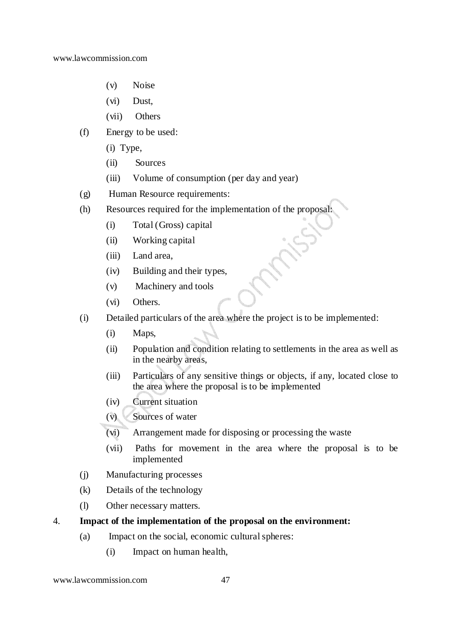- (v) Noise
- (vi) Dust,
- (vii) Others
- (f) Energy to be used:
	- (i) Type,
	- (ii) Sources
	- (iii) Volume of consumption (per day and year)
- (g) Human Resource requirements:
- (h) Resources required for the implementation of the proposal:
	- (i) Total (Gross) capital
	- (ii) Working capital
	- (iii) Land area,
	- (iv) Building and their types,
	- (v) Machinery and tools
	- (vi) Others.
- (i) Detailed particulars of the area where the project is to be implemented:
	- (i) Maps,
	- (ii) Population and condition relating to settlements in the area as well as in the nearby areas,
	- (iii) Particulars of any sensitive things or objects, if any, located close to the area where the proposal is to be implemented
	- (iv) Current situation
	- (v) Sources of water
	- (vi) Arrangement made for disposing or processing the waste
	- (vii) Paths for movement in the area where the proposal is to be implemented
- (j) Manufacturing processes
- (k) Details of the technology
- (l) Other necessary matters.
- 4. **Impact of the implementation of the proposal on the environment:** 
	- (a) Impact on the social, economic cultural spheres:
		- (i) Impact on human health,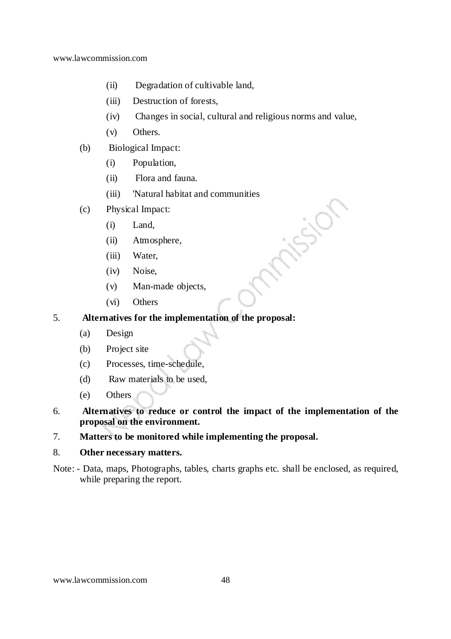- (ii) Degradation of cultivable land,
- (iii) Destruction of forests,
- (iv) Changes in social, cultural and religious norms and value,

insion

- (v) Others.
- (b) Biological Impact:
	- (i) Population,
	- (ii) Flora and fauna.
	- (iii) 'Natural habitat and communities
- (c) Physical Impact:
	- (i) Land,
	- (ii) Atmosphere,
	- (iii) Water,
	- (iv) Noise,
	- (v) Man-made objects,
	- (vi) Others

# 5. **Alternatives for the implementation of the proposal:**

- (a) Design
- (b) Project site
- (c) Processes, time-schedule,
- (d) Raw materials to be used,
- (e) Others
- 6. **Alternatives to reduce or control the impact of the implementation of the proposal on the environment.**
- 7. **Matters to be monitored while implementing the proposal.**

#### 8. **Other necessary matters.**

Note: - Data, maps, Photographs, tables, charts graphs etc. shall be enclosed, as required, while preparing the report.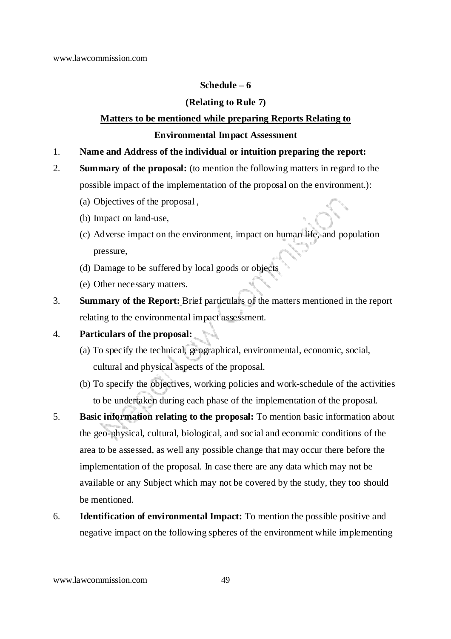# **Schedule – 6**

# **(Relating to Rule 7)**

# **Matters to be mentioned while preparing Reports Relating to Environmental Impact Assessment**

- 1. **Name and Address of the individual or intuition preparing the report:**
- 2. **Summary of the proposal:** (to mention the following matters in regard to the possible impact of the implementation of the proposal on the environment.):
	- (a) Objectives of the proposal ,
	- (b) Impact on land-use,
	- (c) Adverse impact on the environment, impact on human life, and population pressure,
	- (d) Damage to be suffered by local goods or objects
	- (e) Other necessary matters.
- 3. **Summary of the Report:** Brief particulars of the matters mentioned in the report relating to the environmental impact assessment.

# 4. **Particulars of the proposal:**

- (a) To specify the technical, geographical, environmental, economic, social, cultural and physical aspects of the proposal.
- (b) To specify the objectives, working policies and work-schedule of the activities to be undertaken during each phase of the implementation of the proposal.
- 5. **Basic information relating to the proposal:** To mention basic information about the geo-physical, cultural, biological, and social and economic conditions of the area to be assessed, as well any possible change that may occur there before the implementation of the proposal. In case there are any data which may not be available or any Subject which may not be covered by the study, they too should be mentioned.
- 6. **Identification of environmental Impact:** To mention the possible positive and negative impact on the following spheres of the environment while implementing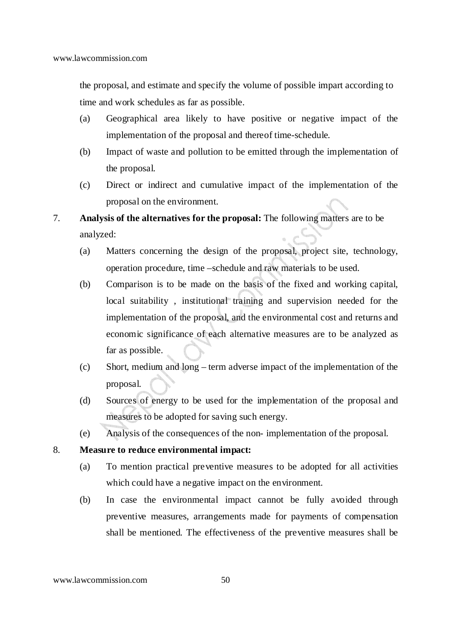the proposal, and estimate and specify the volume of possible impart according to time and work schedules as far as possible.

- (a) Geographical area likely to have positive or negative impact of the implementation of the proposal and thereof time-schedule.
- (b) Impact of waste and pollution to be emitted through the implementation of the proposal.
- (c) Direct or indirect and cumulative impact of the implementation of the proposal on the environment.
- 7. **Analysis of the alternatives for the proposal:** The following matters are to be analyzed:
	- (a) Matters concerning the design of the proposal, project site, technology, operation procedure, time –schedule and raw materials to be used.
	- (b) Comparison is to be made on the basis of the fixed and working capital, local suitability , institutional training and supervision needed for the implementation of the proposal, and the environmental cost and returns and economic significance of each alternative measures are to be analyzed as far as possible.
	- (c) Short, medium and long term adverse impact of the implementation of the proposal.
	- (d) Sources of energy to be used for the implementation of the proposal and measures to be adopted for saving such energy.
	- (e) Analysis of the consequences of the non- implementation of the proposal.

8. **Measure to reduce environmental impact:**

- (a) To mention practical preventive measures to be adopted for all activities which could have a negative impact on the environment.
- (b) In case the environmental impact cannot be fully avoided through preventive measures, arrangements made for payments of compensation shall be mentioned. The effectiveness of the preventive measures shall be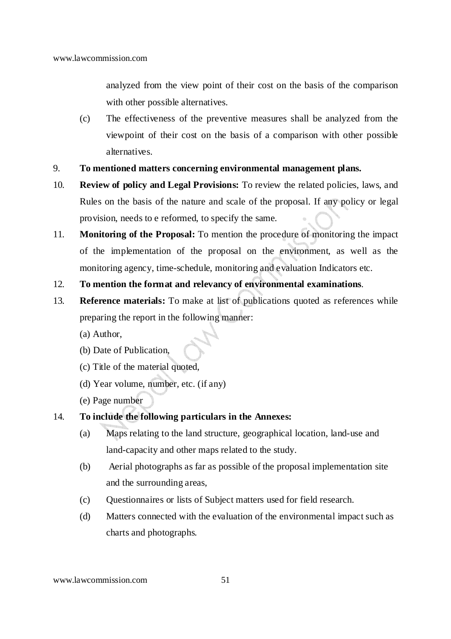analyzed from the view point of their cost on the basis of the comparison with other possible alternatives.

- (c) The effectiveness of the preventive measures shall be analyzed from the viewpoint of their cost on the basis of a comparison with other possible alternatives.
- 9. **To mentioned matters concerning environmental management plans.**
- 10. **Review of policy and Legal Provisions:** To review the related policies, laws, and Rules on the basis of the nature and scale of the proposal. If any policy or legal provision, needs to e reformed, to specify the same.
- 11. **Monitoring of the Proposal:** To mention the procedure of monitoring the impact of the implementation of the proposal on the environment, as well as the monitoring agency, time-schedule, monitoring and evaluation Indicators etc.
- 12. **To mention the format and relevancy of environmental examinations**.
- 13. **Reference materials:** To make at list of publications quoted as references while preparing the report in the following manner:
	- (a) Author,
	- (b) Date of Publication,
	- (c) Title of the material quoted,
	- (d) Year volume, number, etc. (if any)
	- (e) Page number
- 14. **To include the following particulars in the Annexes:**
	- (a) Maps relating to the land structure, geographical location, land-use and land-capacity and other maps related to the study.
	- (b) Aerial photographs as far as possible of the proposal implementation site and the surrounding areas,
	- (c) Questionnaires or lists of Subject matters used for field research.
	- (d) Matters connected with the evaluation of the environmental impact such as charts and photographs.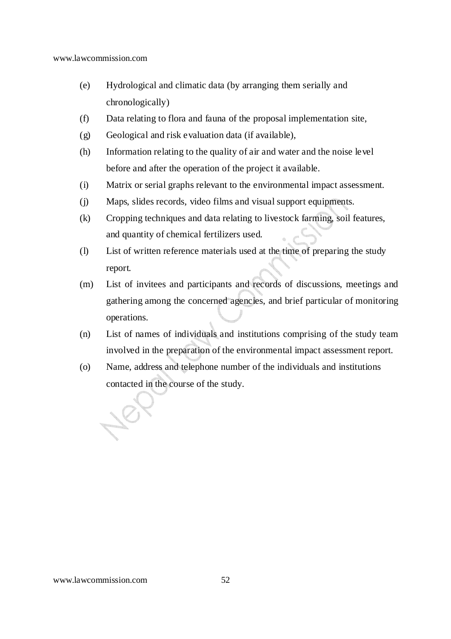- (e) Hydrological and climatic data (by arranging them serially and chronologically)
- (f) Data relating to flora and fauna of the proposal implementation site,
- (g) Geological and risk evaluation data (if available),
- (h) Information relating to the quality of air and water and the noise level before and after the operation of the project it available.
- (i) Matrix or serial graphs relevant to the environmental impact assessment.
- (j) Maps, slides records, video films and visual support equipments.
- (k) Cropping techniques and data relating to livestock farming, soil features, and quantity of chemical fertilizers used.
- (l) List of written reference materials used at the time of preparing the study report.
- (m) List of invitees and participants and records of discussions, meetings and gathering among the concerned agencies, and brief particular of monitoring operations.
- (n) List of names of individuals and institutions comprising of the study team involved in the preparation of the environmental impact assessment report.
- (o) Name, address and telephone number of the individuals and institutions contacted in the course of the study.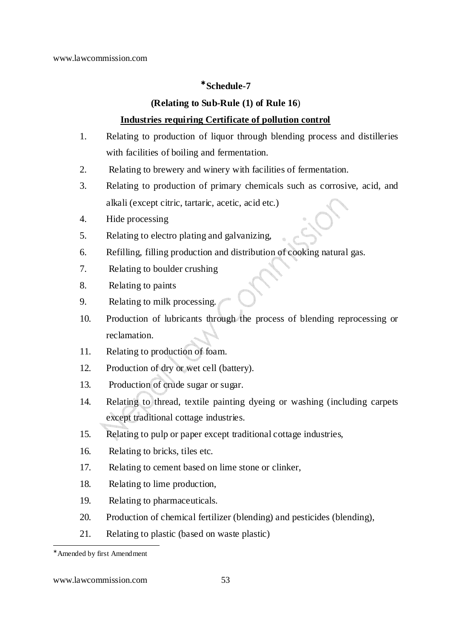# <sup>∗</sup> **Schedule-7**

## **(Relating to Sub-Rule (1) of Rule 16**)

# **Industries requiring Certificate of pollution control**

- 1. Relating to production of liquor through blending process and distilleries with facilities of boiling and fermentation.
- 2. Relating to brewery and winery with facilities of fermentation.
- 3. Relating to production of primary chemicals such as corrosive, acid, and alkali (except citric, tartaric, acetic, acid etc.)
- 4. Hide processing
- 5. Relating to electro plating and galvanizing,
- 6. Refilling, filling production and distribution of cooking natural gas.
- 7. Relating to boulder crushing
- 8. Relating to paints
- 9. Relating to milk processing.
- 10. Production of lubricants through the process of blending reprocessing or reclamation.
- 11. Relating to production of foam.
- 12. Production of dry or wet cell (battery).
- 13. Production of crude sugar or sugar.
- 14. Relating to thread, textile painting dyeing or washing (including carpets except traditional cottage industries.
- 15. Relating to pulp or paper except traditional cottage industries,
- 16. Relating to bricks, tiles etc.
- 17. Relating to cement based on lime stone or clinker,
- 18. Relating to lime production,
- 19. Relating to pharmaceuticals.
- 20. Production of chemical fertilizer (blending) and pesticides (blending),
- 21. Relating to plastic (based on waste plastic)

-

www.lawcommission.com 53

<sup>∗</sup> Amended by first Amendment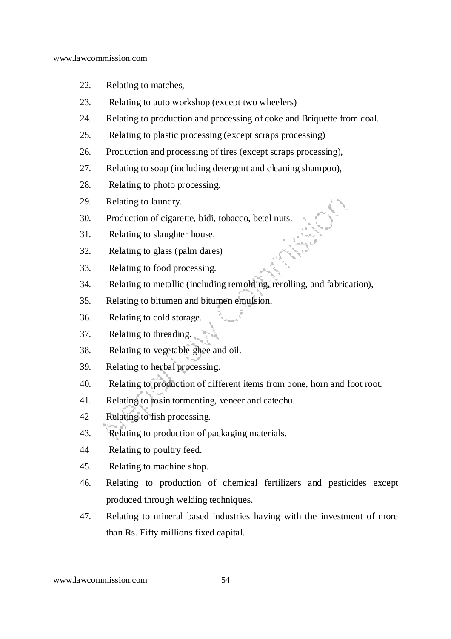- 22. Relating to matches,
- 23. Relating to auto workshop (except two wheelers)
- 24. Relating to production and processing of coke and Briquette from coal.
- 25. Relating to plastic processing (except scraps processing)
- 26. Production and processing of tires (except scraps processing),
- 27. Relating to soap (including detergent and cleaning shampoo),
- 28. Relating to photo processing.
- 29. Relating to laundry.
- 30. Production of cigarette, bidi, tobacco, betel nuts.
- 31. Relating to slaughter house.
- 32. Relating to glass (palm dares)
- 33. Relating to food processing.
- 34. Relating to metallic (including remolding, rerolling, and fabrication),
- 35. Relating to bitumen and bitumen emulsion,
- 36. Relating to cold storage.
- 37. Relating to threading.
- 38. Relating to vegetable ghee and oil.
- 39. Relating to herbal processing.
- 40. Relating to production of different items from bone, horn and foot root.
- 41. Relating to rosin tormenting, veneer and catechu.
- 42 Relating to fish processing.
- 43. Relating to production of packaging materials.
- 44 Relating to poultry feed.
- 45. Relating to machine shop.
- 46. Relating to production of chemical fertilizers and pesticides except produced through welding techniques.
- 47. Relating to mineral based industries having with the investment of more than Rs. Fifty millions fixed capital.